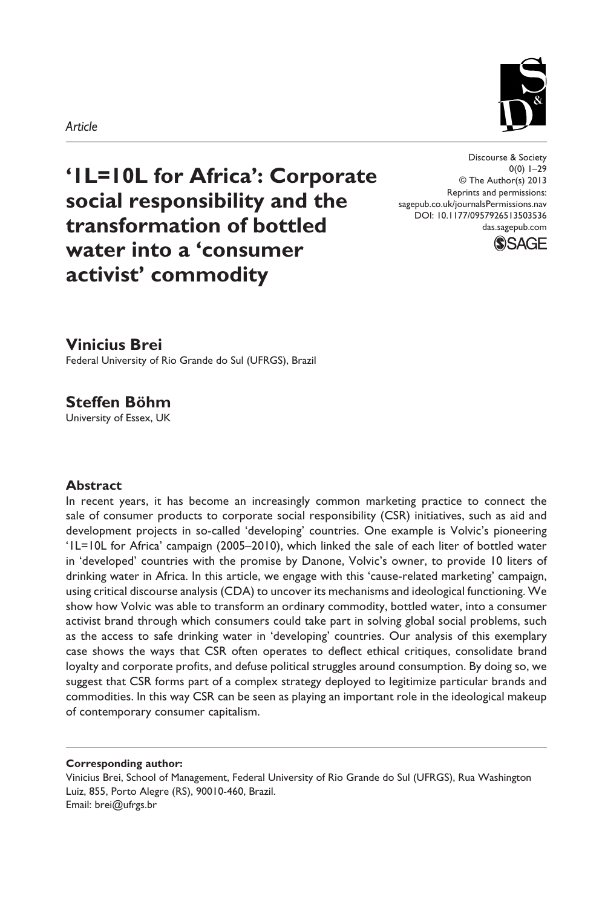#### *Article*



**'1L=10L for Africa': Corporate social responsibility and the transformation of bottled water into a 'consumer activist' commodity**

Discourse & Society  $0(0)$  1-29 © The Author(s) 2013 Reprints and permissions: sagepub.co.uk/journalsPermissions.nav DOI: 10.1177/0957926513503536 das.sagepub.com



### **Vinicius Brei**

Federal University of Rio Grande do Sul (UFRGS), Brazil

# **Steffen Böhm**

University of Essex, UK

#### **Abstract**

In recent years, it has become an increasingly common marketing practice to connect the sale of consumer products to corporate social responsibility (CSR) initiatives, such as aid and development projects in so-called 'developing' countries. One example is Volvic's pioneering '1L=10L for Africa' campaign (2005–2010), which linked the sale of each liter of bottled water in 'developed' countries with the promise by Danone, Volvic's owner, to provide 10 liters of drinking water in Africa. In this article, we engage with this 'cause-related marketing' campaign, using critical discourse analysis (CDA) to uncover its mechanisms and ideological functioning. We show how Volvic was able to transform an ordinary commodity, bottled water, into a consumer activist brand through which consumers could take part in solving global social problems, such as the access to safe drinking water in 'developing' countries. Our analysis of this exemplary case shows the ways that CSR often operates to deflect ethical critiques, consolidate brand loyalty and corporate profits, and defuse political struggles around consumption. By doing so, we suggest that CSR forms part of a complex strategy deployed to legitimize particular brands and commodities. In this way CSR can be seen as playing an important role in the ideological makeup of contemporary consumer capitalism.

#### **Corresponding author:**

Vinicius Brei, School of Management, Federal University of Rio Grande do Sul (UFRGS), Rua Washington Luiz, 855, Porto Alegre (RS), 90010-460, Brazil. Email: brei@ufrgs.br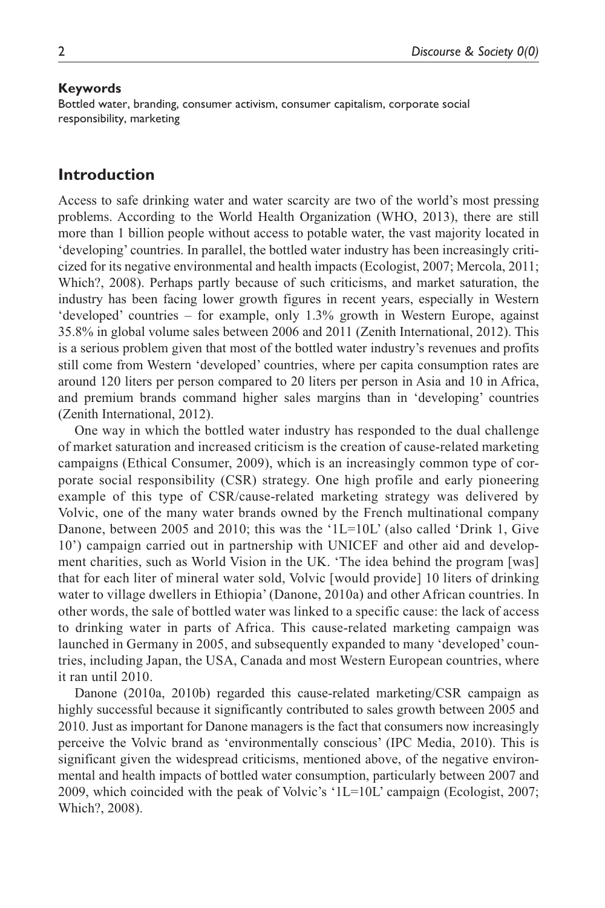#### **Keywords**

Bottled water, branding, consumer activism, consumer capitalism, corporate social responsibility, marketing

## **Introduction**

Access to safe drinking water and water scarcity are two of the world's most pressing problems. According to the World Health Organization (WHO, 2013), there are still more than 1 billion people without access to potable water, the vast majority located in 'developing' countries. In parallel, the bottled water industry has been increasingly criticized for its negative environmental and health impacts (Ecologist, 2007; Mercola, 2011; Which?, 2008). Perhaps partly because of such criticisms, and market saturation, the industry has been facing lower growth figures in recent years, especially in Western 'developed' countries – for example, only 1.3% growth in Western Europe, against 35.8% in global volume sales between 2006 and 2011 (Zenith International, 2012). This is a serious problem given that most of the bottled water industry's revenues and profits still come from Western 'developed' countries, where per capita consumption rates are around 120 liters per person compared to 20 liters per person in Asia and 10 in Africa, and premium brands command higher sales margins than in 'developing' countries (Zenith International, 2012).

One way in which the bottled water industry has responded to the dual challenge of market saturation and increased criticism is the creation of cause-related marketing campaigns (Ethical Consumer, 2009), which is an increasingly common type of corporate social responsibility (CSR) strategy. One high profile and early pioneering example of this type of CSR/cause-related marketing strategy was delivered by Volvic, one of the many water brands owned by the French multinational company Danone, between 2005 and 2010; this was the '1L=10L' (also called 'Drink 1, Give 10') campaign carried out in partnership with UNICEF and other aid and development charities, such as World Vision in the UK. 'The idea behind the program [was] that for each liter of mineral water sold, Volvic [would provide] 10 liters of drinking water to village dwellers in Ethiopia' (Danone, 2010a) and other African countries. In other words, the sale of bottled water was linked to a specific cause: the lack of access to drinking water in parts of Africa. This cause-related marketing campaign was launched in Germany in 2005, and subsequently expanded to many 'developed' countries, including Japan, the USA, Canada and most Western European countries, where it ran until 2010.

Danone (2010a, 2010b) regarded this cause-related marketing/CSR campaign as highly successful because it significantly contributed to sales growth between 2005 and 2010. Just as important for Danone managers is the fact that consumers now increasingly perceive the Volvic brand as 'environmentally conscious' (IPC Media, 2010). This is significant given the widespread criticisms, mentioned above, of the negative environmental and health impacts of bottled water consumption, particularly between 2007 and 2009, which coincided with the peak of Volvic's '1L=10L' campaign (Ecologist, 2007; Which?, 2008).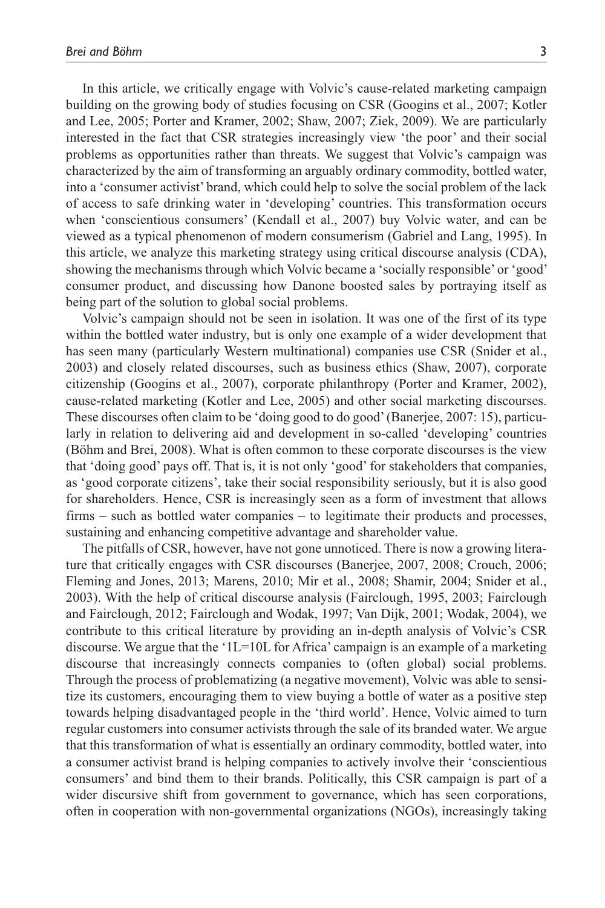In this article, we critically engage with Volvic's cause-related marketing campaign building on the growing body of studies focusing on CSR (Googins et al., 2007; Kotler and Lee, 2005; Porter and Kramer, 2002; Shaw, 2007; Ziek, 2009). We are particularly interested in the fact that CSR strategies increasingly view 'the poor' and their social problems as opportunities rather than threats. We suggest that Volvic's campaign was characterized by the aim of transforming an arguably ordinary commodity, bottled water, into a 'consumer activist' brand, which could help to solve the social problem of the lack of access to safe drinking water in 'developing' countries. This transformation occurs when 'conscientious consumers' (Kendall et al., 2007) buy Volvic water, and can be viewed as a typical phenomenon of modern consumerism (Gabriel and Lang, 1995). In this article, we analyze this marketing strategy using critical discourse analysis (CDA), showing the mechanisms through which Volvic became a 'socially responsible' or 'good' consumer product, and discussing how Danone boosted sales by portraying itself as being part of the solution to global social problems.

Volvic's campaign should not be seen in isolation. It was one of the first of its type within the bottled water industry, but is only one example of a wider development that has seen many (particularly Western multinational) companies use CSR (Snider et al., 2003) and closely related discourses, such as business ethics (Shaw, 2007), corporate citizenship (Googins et al., 2007), corporate philanthropy (Porter and Kramer, 2002), cause-related marketing (Kotler and Lee, 2005) and other social marketing discourses. These discourses often claim to be 'doing good to do good' (Banerjee, 2007: 15), particularly in relation to delivering aid and development in so-called 'developing' countries (Böhm and Brei, 2008). What is often common to these corporate discourses is the view that 'doing good' pays off. That is, it is not only 'good' for stakeholders that companies, as 'good corporate citizens', take their social responsibility seriously, but it is also good for shareholders. Hence, CSR is increasingly seen as a form of investment that allows firms – such as bottled water companies – to legitimate their products and processes, sustaining and enhancing competitive advantage and shareholder value.

The pitfalls of CSR, however, have not gone unnoticed. There is now a growing literature that critically engages with CSR discourses (Banerjee, 2007, 2008; Crouch, 2006; Fleming and Jones, 2013; Marens, 2010; Mir et al., 2008; Shamir, 2004; Snider et al., 2003). With the help of critical discourse analysis (Fairclough, 1995, 2003; Fairclough and Fairclough, 2012; Fairclough and Wodak, 1997; Van Dijk, 2001; Wodak, 2004), we contribute to this critical literature by providing an in-depth analysis of Volvic's CSR discourse. We argue that the '1L=10L for Africa' campaign is an example of a marketing discourse that increasingly connects companies to (often global) social problems. Through the process of problematizing (a negative movement), Volvic was able to sensitize its customers, encouraging them to view buying a bottle of water as a positive step towards helping disadvantaged people in the 'third world'. Hence, Volvic aimed to turn regular customers into consumer activists through the sale of its branded water. We argue that this transformation of what is essentially an ordinary commodity, bottled water, into a consumer activist brand is helping companies to actively involve their 'conscientious consumers' and bind them to their brands. Politically, this CSR campaign is part of a wider discursive shift from government to governance, which has seen corporations, often in cooperation with non-governmental organizations (NGOs), increasingly taking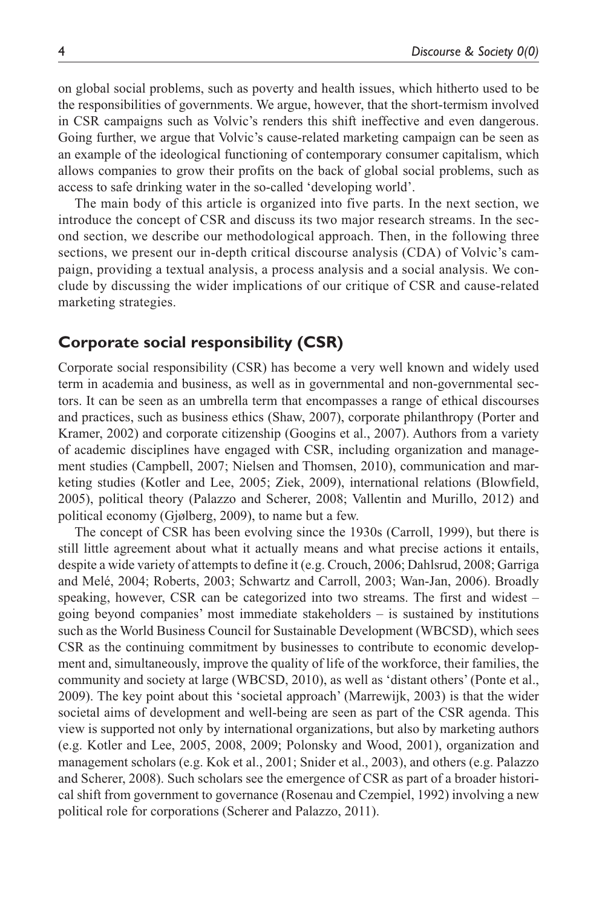on global social problems, such as poverty and health issues, which hitherto used to be the responsibilities of governments. We argue, however, that the short-termism involved in CSR campaigns such as Volvic's renders this shift ineffective and even dangerous. Going further, we argue that Volvic's cause-related marketing campaign can be seen as an example of the ideological functioning of contemporary consumer capitalism, which allows companies to grow their profits on the back of global social problems, such as access to safe drinking water in the so-called 'developing world'.

The main body of this article is organized into five parts. In the next section, we introduce the concept of CSR and discuss its two major research streams. In the second section, we describe our methodological approach. Then, in the following three sections, we present our in-depth critical discourse analysis (CDA) of Volvic's campaign, providing a textual analysis, a process analysis and a social analysis. We conclude by discussing the wider implications of our critique of CSR and cause-related marketing strategies.

## **Corporate social responsibility (CSR)**

Corporate social responsibility (CSR) has become a very well known and widely used term in academia and business, as well as in governmental and non-governmental sectors. It can be seen as an umbrella term that encompasses a range of ethical discourses and practices, such as business ethics (Shaw, 2007), corporate philanthropy (Porter and Kramer, 2002) and corporate citizenship (Googins et al., 2007). Authors from a variety of academic disciplines have engaged with CSR, including organization and management studies (Campbell, 2007; Nielsen and Thomsen, 2010), communication and marketing studies (Kotler and Lee, 2005; Ziek, 2009), international relations (Blowfield, 2005), political theory (Palazzo and Scherer, 2008; Vallentin and Murillo, 2012) and political economy (Gjølberg, 2009), to name but a few.

The concept of CSR has been evolving since the 1930s (Carroll, 1999), but there is still little agreement about what it actually means and what precise actions it entails, despite a wide variety of attempts to define it (e.g. Crouch, 2006; Dahlsrud, 2008; Garriga and Melé, 2004; Roberts, 2003; Schwartz and Carroll, 2003; Wan-Jan, 2006). Broadly speaking, however, CSR can be categorized into two streams. The first and widest – going beyond companies' most immediate stakeholders – is sustained by institutions such as the World Business Council for Sustainable Development (WBCSD), which sees CSR as the continuing commitment by businesses to contribute to economic development and, simultaneously, improve the quality of life of the workforce, their families, the community and society at large (WBCSD, 2010), as well as 'distant others' (Ponte et al., 2009). The key point about this 'societal approach' (Marrewijk, 2003) is that the wider societal aims of development and well-being are seen as part of the CSR agenda. This view is supported not only by international organizations, but also by marketing authors (e.g. Kotler and Lee, 2005, 2008, 2009; Polonsky and Wood, 2001), organization and management scholars (e.g. Kok et al., 2001; Snider et al., 2003), and others (e.g. Palazzo and Scherer, 2008). Such scholars see the emergence of CSR as part of a broader historical shift from government to governance (Rosenau and Czempiel, 1992) involving a new political role for corporations (Scherer and Palazzo, 2011).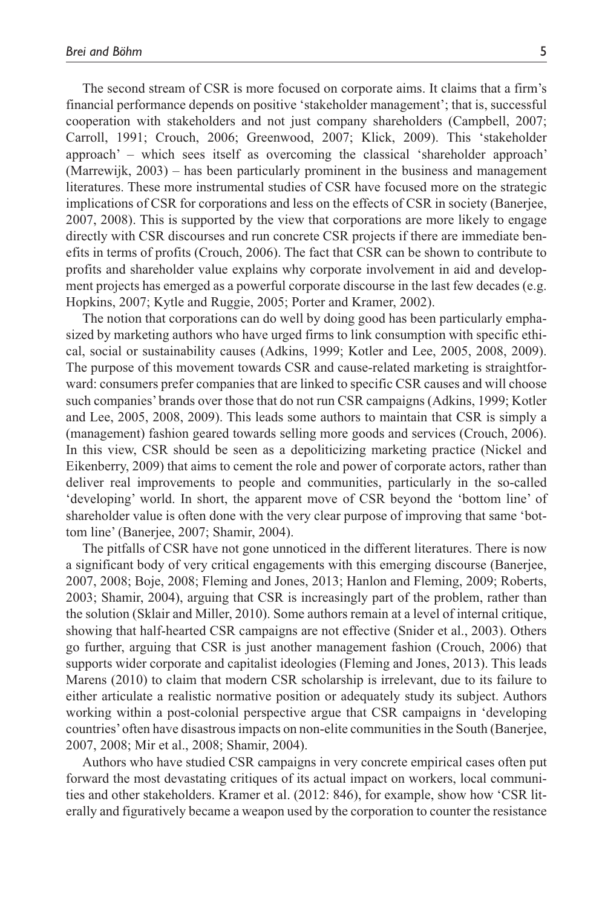The second stream of CSR is more focused on corporate aims. It claims that a firm's financial performance depends on positive 'stakeholder management'; that is, successful cooperation with stakeholders and not just company shareholders (Campbell, 2007; Carroll, 1991; Crouch, 2006; Greenwood, 2007; Klick, 2009). This 'stakeholder approach' – which sees itself as overcoming the classical 'shareholder approach' (Marrewijk, 2003) – has been particularly prominent in the business and management literatures. These more instrumental studies of CSR have focused more on the strategic implications of CSR for corporations and less on the effects of CSR in society (Banerjee, 2007, 2008). This is supported by the view that corporations are more likely to engage directly with CSR discourses and run concrete CSR projects if there are immediate benefits in terms of profits (Crouch, 2006). The fact that CSR can be shown to contribute to profits and shareholder value explains why corporate involvement in aid and development projects has emerged as a powerful corporate discourse in the last few decades (e.g. Hopkins, 2007; Kytle and Ruggie, 2005; Porter and Kramer, 2002).

The notion that corporations can do well by doing good has been particularly emphasized by marketing authors who have urged firms to link consumption with specific ethical, social or sustainability causes (Adkins, 1999; Kotler and Lee, 2005, 2008, 2009). The purpose of this movement towards CSR and cause-related marketing is straightforward: consumers prefer companies that are linked to specific CSR causes and will choose such companies' brands over those that do not run CSR campaigns (Adkins, 1999; Kotler and Lee, 2005, 2008, 2009). This leads some authors to maintain that CSR is simply a (management) fashion geared towards selling more goods and services (Crouch, 2006). In this view, CSR should be seen as a depoliticizing marketing practice (Nickel and Eikenberry, 2009) that aims to cement the role and power of corporate actors, rather than deliver real improvements to people and communities, particularly in the so-called 'developing' world. In short, the apparent move of CSR beyond the 'bottom line' of shareholder value is often done with the very clear purpose of improving that same 'bottom line' (Banerjee, 2007; Shamir, 2004).

The pitfalls of CSR have not gone unnoticed in the different literatures. There is now a significant body of very critical engagements with this emerging discourse (Banerjee, 2007, 2008; Boje, 2008; Fleming and Jones, 2013; Hanlon and Fleming, 2009; Roberts, 2003; Shamir, 2004), arguing that CSR is increasingly part of the problem, rather than the solution (Sklair and Miller, 2010). Some authors remain at a level of internal critique, showing that half-hearted CSR campaigns are not effective (Snider et al., 2003). Others go further, arguing that CSR is just another management fashion (Crouch, 2006) that supports wider corporate and capitalist ideologies (Fleming and Jones, 2013). This leads Marens (2010) to claim that modern CSR scholarship is irrelevant, due to its failure to either articulate a realistic normative position or adequately study its subject. Authors working within a post-colonial perspective argue that CSR campaigns in 'developing countries' often have disastrous impacts on non-elite communities in the South (Banerjee, 2007, 2008; Mir et al., 2008; Shamir, 2004).

Authors who have studied CSR campaigns in very concrete empirical cases often put forward the most devastating critiques of its actual impact on workers, local communities and other stakeholders. Kramer et al. (2012: 846), for example, show how 'CSR literally and figuratively became a weapon used by the corporation to counter the resistance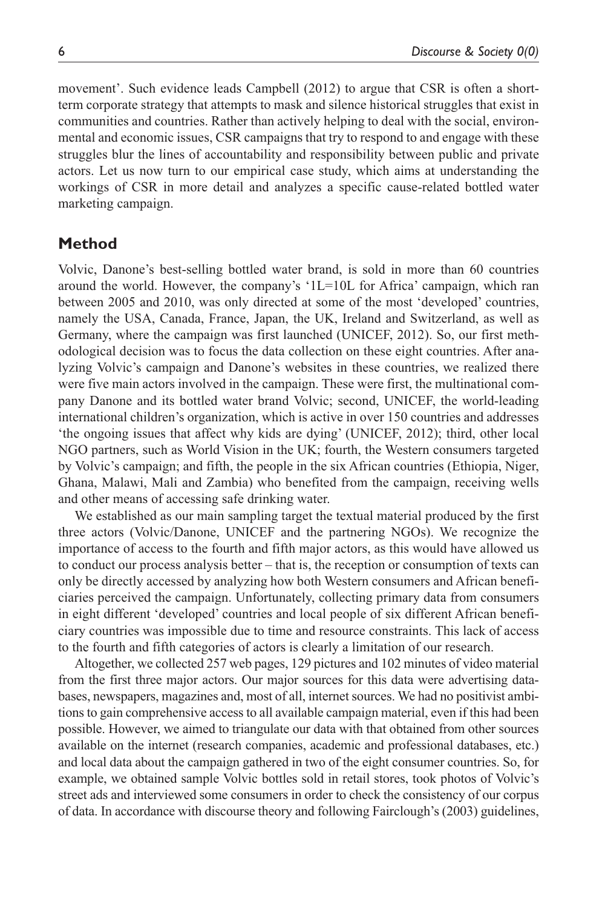movement'. Such evidence leads Campbell (2012) to argue that CSR is often a shortterm corporate strategy that attempts to mask and silence historical struggles that exist in communities and countries. Rather than actively helping to deal with the social, environmental and economic issues, CSR campaigns that try to respond to and engage with these struggles blur the lines of accountability and responsibility between public and private actors. Let us now turn to our empirical case study, which aims at understanding the workings of CSR in more detail and analyzes a specific cause-related bottled water marketing campaign.

## **Method**

Volvic, Danone's best-selling bottled water brand, is sold in more than 60 countries around the world. However, the company's '1L=10L for Africa' campaign, which ran between 2005 and 2010, was only directed at some of the most 'developed' countries, namely the USA, Canada, France, Japan, the UK, Ireland and Switzerland, as well as Germany, where the campaign was first launched (UNICEF, 2012). So, our first methodological decision was to focus the data collection on these eight countries. After analyzing Volvic's campaign and Danone's websites in these countries, we realized there were five main actors involved in the campaign. These were first, the multinational company Danone and its bottled water brand Volvic; second, UNICEF, the world-leading international children's organization, which is active in over 150 countries and addresses 'the ongoing issues that affect why kids are dying' (UNICEF, 2012); third, other local NGO partners, such as World Vision in the UK; fourth, the Western consumers targeted by Volvic's campaign; and fifth, the people in the six African countries (Ethiopia, Niger, Ghana, Malawi, Mali and Zambia) who benefited from the campaign, receiving wells and other means of accessing safe drinking water.

We established as our main sampling target the textual material produced by the first three actors (Volvic/Danone, UNICEF and the partnering NGOs). We recognize the importance of access to the fourth and fifth major actors, as this would have allowed us to conduct our process analysis better – that is, the reception or consumption of texts can only be directly accessed by analyzing how both Western consumers and African beneficiaries perceived the campaign. Unfortunately, collecting primary data from consumers in eight different 'developed' countries and local people of six different African beneficiary countries was impossible due to time and resource constraints. This lack of access to the fourth and fifth categories of actors is clearly a limitation of our research.

Altogether, we collected 257 web pages, 129 pictures and 102 minutes of video material from the first three major actors. Our major sources for this data were advertising databases, newspapers, magazines and, most of all, internet sources. We had no positivist ambitions to gain comprehensive access to all available campaign material, even if this had been possible. However, we aimed to triangulate our data with that obtained from other sources available on the internet (research companies, academic and professional databases, etc.) and local data about the campaign gathered in two of the eight consumer countries. So, for example, we obtained sample Volvic bottles sold in retail stores, took photos of Volvic's street ads and interviewed some consumers in order to check the consistency of our corpus of data. In accordance with discourse theory and following Fairclough's (2003) guidelines,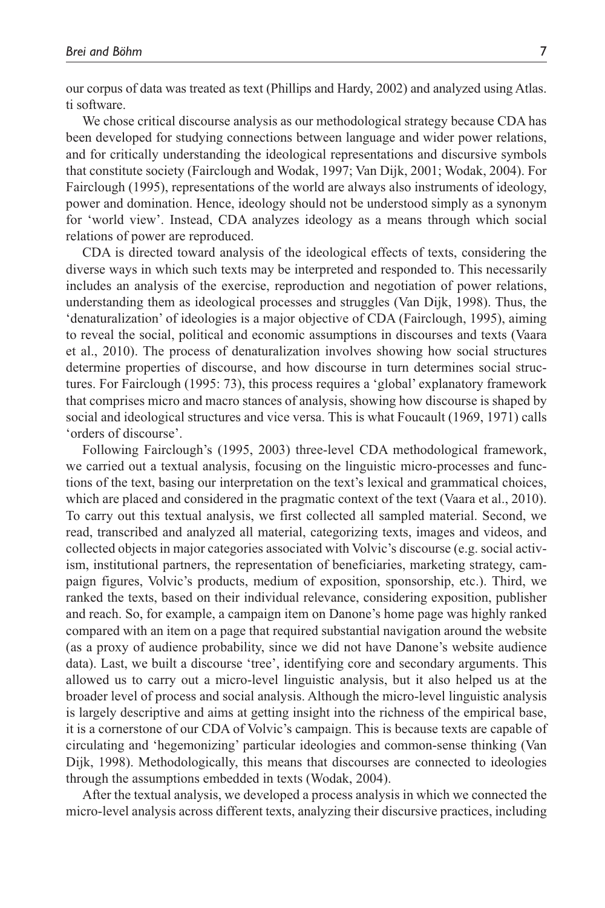our corpus of data was treated as text (Phillips and Hardy, 2002) and analyzed using Atlas. ti software.

We chose critical discourse analysis as our methodological strategy because CDA has been developed for studying connections between language and wider power relations, and for critically understanding the ideological representations and discursive symbols that constitute society (Fairclough and Wodak, 1997; Van Dijk, 2001; Wodak, 2004). For Fairclough (1995), representations of the world are always also instruments of ideology, power and domination. Hence, ideology should not be understood simply as a synonym for 'world view'. Instead, CDA analyzes ideology as a means through which social relations of power are reproduced.

CDA is directed toward analysis of the ideological effects of texts, considering the diverse ways in which such texts may be interpreted and responded to. This necessarily includes an analysis of the exercise, reproduction and negotiation of power relations, understanding them as ideological processes and struggles (Van Dijk, 1998). Thus, the 'denaturalization' of ideologies is a major objective of CDA (Fairclough, 1995), aiming to reveal the social, political and economic assumptions in discourses and texts (Vaara et al., 2010). The process of denaturalization involves showing how social structures determine properties of discourse, and how discourse in turn determines social structures. For Fairclough (1995: 73), this process requires a 'global' explanatory framework that comprises micro and macro stances of analysis, showing how discourse is shaped by social and ideological structures and vice versa. This is what Foucault (1969, 1971) calls 'orders of discourse'.

Following Fairclough's (1995, 2003) three-level CDA methodological framework, we carried out a textual analysis, focusing on the linguistic micro-processes and functions of the text, basing our interpretation on the text's lexical and grammatical choices, which are placed and considered in the pragmatic context of the text (Vaara et al., 2010). To carry out this textual analysis, we first collected all sampled material. Second, we read, transcribed and analyzed all material, categorizing texts, images and videos, and collected objects in major categories associated with Volvic's discourse (e.g. social activism, institutional partners, the representation of beneficiaries, marketing strategy, campaign figures, Volvic's products, medium of exposition, sponsorship, etc.). Third, we ranked the texts, based on their individual relevance, considering exposition, publisher and reach. So, for example, a campaign item on Danone's home page was highly ranked compared with an item on a page that required substantial navigation around the website (as a proxy of audience probability, since we did not have Danone's website audience data). Last, we built a discourse 'tree', identifying core and secondary arguments. This allowed us to carry out a micro-level linguistic analysis, but it also helped us at the broader level of process and social analysis. Although the micro-level linguistic analysis is largely descriptive and aims at getting insight into the richness of the empirical base, it is a cornerstone of our CDA of Volvic's campaign. This is because texts are capable of circulating and 'hegemonizing' particular ideologies and common-sense thinking (Van Dijk, 1998). Methodologically, this means that discourses are connected to ideologies through the assumptions embedded in texts (Wodak, 2004).

After the textual analysis, we developed a process analysis in which we connected the micro-level analysis across different texts, analyzing their discursive practices, including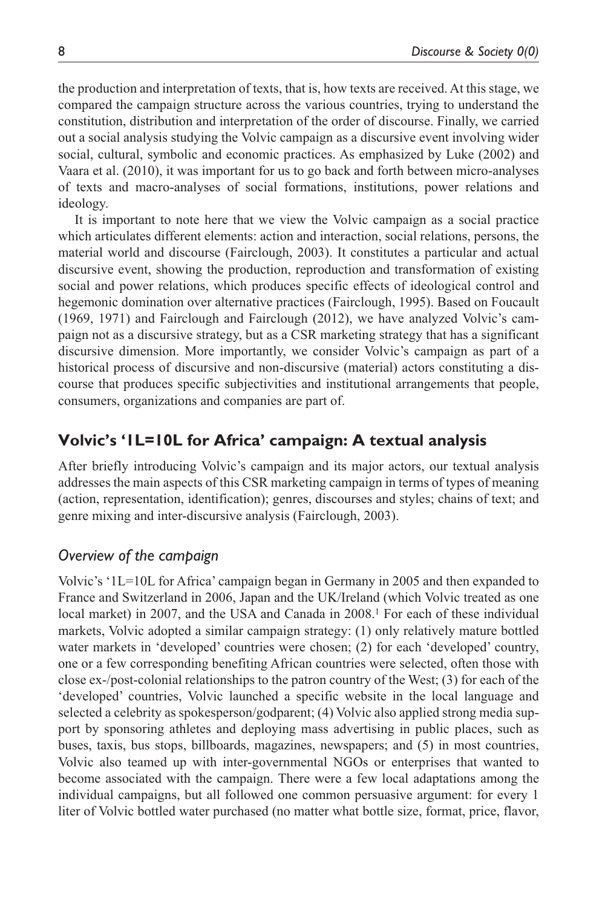the production and interpretation of texts, that is, how texts are received. At this stage, we compared the campaign structure across the various countries, trying to understand the constitution, distribution and interpretation of the order of discourse. Finally, we carried out a social analysis studying the Volvic campaign as a discursive event involving wider social, cultural, symbolic and economic practices. As emphasized by Luke (2002) and Vaara et al. (2010), it was important for us to go back and forth between micro-analyses of texts and macro-analyses of social formations, institutions, power relations and ideology.

It is important to note here that we view the Volvic campaign as a social practice which articulates different elements: action and interaction, social relations, persons, the material world and discourse (Fairclough, 2003). It constitutes a particular and actual discursive event, showing the production, reproduction and transformation of existing social and power relations, which produces specific effects of ideological control and hegemonic domination over alternative practices (Fairclough, 1995). Based on Foucault (1969, 1971) and Fairclough and Fairclough (2012), we have analyzed Volvic's campaign not as a discursive strategy, but as a CSR marketing strategy that has a significant discursive dimension. More importantly, we consider Volvic's campaign as part of a historical process of discursive and non-discursive (material) actors constituting a discourse that produces specific subjectivities and institutional arrangements that people, consumers, organizations and companies are part of.

# **Volvic's '1L=10L for Africa' campaign: A textual analysis**

After briefly introducing Volvic's campaign and its major actors, our textual analysis addresses the main aspects of this CSR marketing campaign in terms of types of meaning (action, representation, identification); genres, discourses and styles; chains of text; and genre mixing and inter-discursive analysis (Fairclough, 2003).

## *Overview of the campaign*

Volvic's '1L=10L for Africa' campaign began in Germany in 2005 and then expanded to France and Switzerland in 2006, Japan and the UK/Ireland (which Volvic treated as one local market) in 2007, and the USA and Canada in 2008.<sup>1</sup> For each of these individual markets, Volvic adopted a similar campaign strategy: (1) only relatively mature bottled water markets in 'developed' countries were chosen; (2) for each 'developed' country, one or a few corresponding benefiting African countries were selected, often those with close ex-/post-colonial relationships to the patron country of the West; (3) for each of the 'developed' countries, Volvic launched a specific website in the local language and selected a celebrity as spokesperson/godparent; (4) Volvic also applied strong media support by sponsoring athletes and deploying mass advertising in public places, such as buses, taxis, bus stops, billboards, magazines, newspapers; and (5) in most countries, Volvic also teamed up with inter-governmental NGOs or enterprises that wanted to become associated with the campaign. There were a few local adaptations among the individual campaigns, but all followed one common persuasive argument: for every 1 liter of Volvic bottled water purchased (no matter what bottle size, format, price, flavor,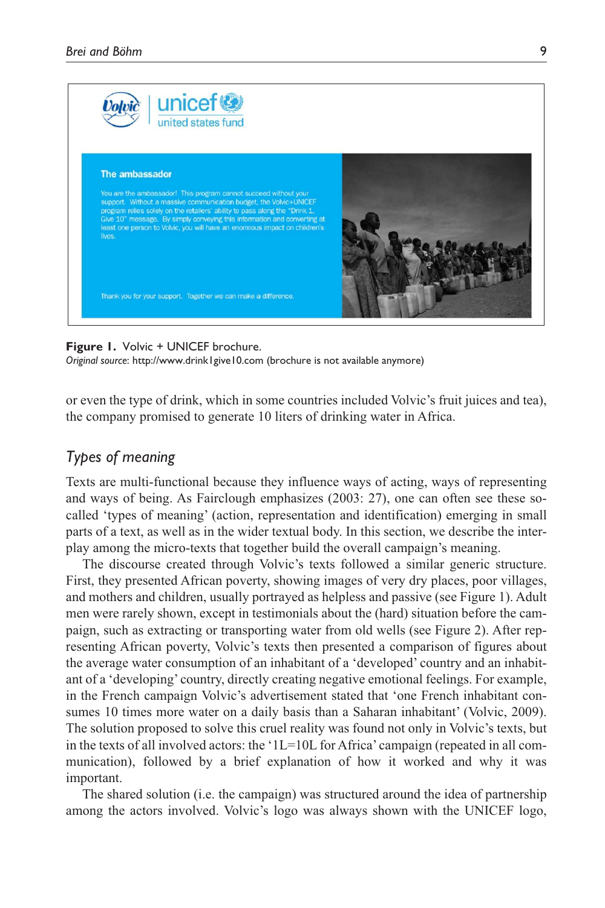

**Figure 1. Volvic + UNICEF brochure.** *Original source*: http://www.drink1give10.com (brochure is not available anymore)

or even the type of drink, which in some countries included Volvic's fruit juices and tea), the company promised to generate 10 liters of drinking water in Africa.

# *Types of meaning*

Texts are multi-functional because they influence ways of acting, ways of representing and ways of being. As Fairclough emphasizes (2003: 27), one can often see these socalled 'types of meaning' (action, representation and identification) emerging in small parts of a text, as well as in the wider textual body. In this section, we describe the interplay among the micro-texts that together build the overall campaign's meaning.

The discourse created through Volvic's texts followed a similar generic structure. First, they presented African poverty, showing images of very dry places, poor villages, and mothers and children, usually portrayed as helpless and passive (see Figure 1). Adult men were rarely shown, except in testimonials about the (hard) situation before the campaign, such as extracting or transporting water from old wells (see Figure 2). After representing African poverty, Volvic's texts then presented a comparison of figures about the average water consumption of an inhabitant of a 'developed' country and an inhabitant of a 'developing' country, directly creating negative emotional feelings. For example, in the French campaign Volvic's advertisement stated that 'one French inhabitant consumes 10 times more water on a daily basis than a Saharan inhabitant' (Volvic, 2009). The solution proposed to solve this cruel reality was found not only in Volvic's texts, but in the texts of all involved actors: the  $1L=10L$  for Africa' campaign (repeated in all communication), followed by a brief explanation of how it worked and why it was important.

The shared solution (i.e. the campaign) was structured around the idea of partnership among the actors involved. Volvic's logo was always shown with the UNICEF logo,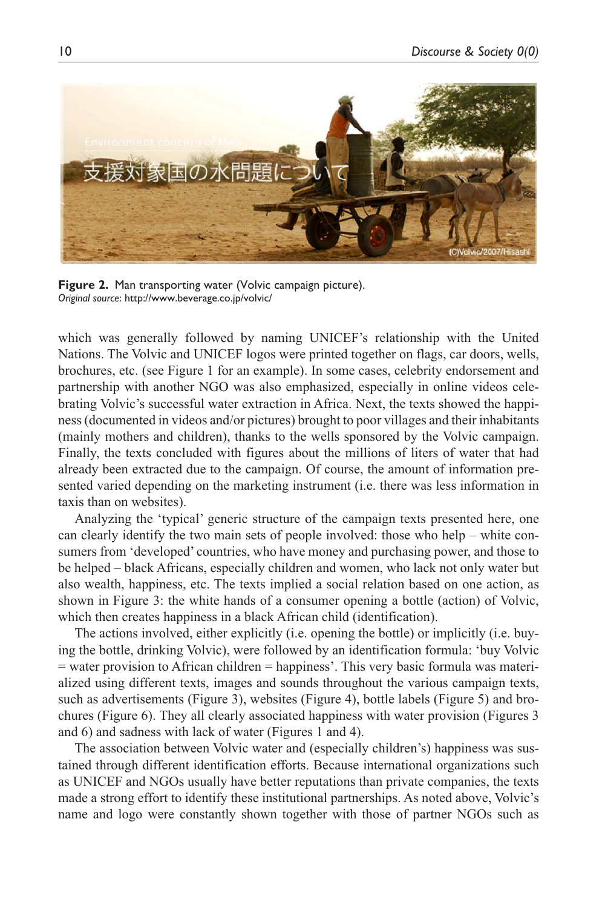

**Figure 2.** Man transporting water (Volvic campaign picture). *Original source*: http://www.beverage.co.jp/volvic/

which was generally followed by naming UNICEF's relationship with the United Nations. The Volvic and UNICEF logos were printed together on flags, car doors, wells, brochures, etc. (see Figure 1 for an example). In some cases, celebrity endorsement and partnership with another NGO was also emphasized, especially in online videos celebrating Volvic's successful water extraction in Africa. Next, the texts showed the happiness (documented in videos and/or pictures) brought to poor villages and their inhabitants (mainly mothers and children), thanks to the wells sponsored by the Volvic campaign. Finally, the texts concluded with figures about the millions of liters of water that had already been extracted due to the campaign. Of course, the amount of information presented varied depending on the marketing instrument (i.e. there was less information in taxis than on websites).

Analyzing the 'typical' generic structure of the campaign texts presented here, one can clearly identify the two main sets of people involved: those who help – white consumers from 'developed' countries, who have money and purchasing power, and those to be helped – black Africans, especially children and women, who lack not only water but also wealth, happiness, etc. The texts implied a social relation based on one action, as shown in Figure 3: the white hands of a consumer opening a bottle (action) of Volvic, which then creates happiness in a black African child (identification).

The actions involved, either explicitly (i.e. opening the bottle) or implicitly (i.e. buying the bottle, drinking Volvic), were followed by an identification formula: 'buy Volvic = water provision to African children = happiness'. This very basic formula was materialized using different texts, images and sounds throughout the various campaign texts, such as advertisements (Figure 3), websites (Figure 4), bottle labels (Figure 5) and brochures (Figure 6). They all clearly associated happiness with water provision (Figures 3 and 6) and sadness with lack of water (Figures 1 and 4).

The association between Volvic water and (especially children's) happiness was sustained through different identification efforts. Because international organizations such as UNICEF and NGOs usually have better reputations than private companies, the texts made a strong effort to identify these institutional partnerships. As noted above, Volvic's name and logo were constantly shown together with those of partner NGOs such as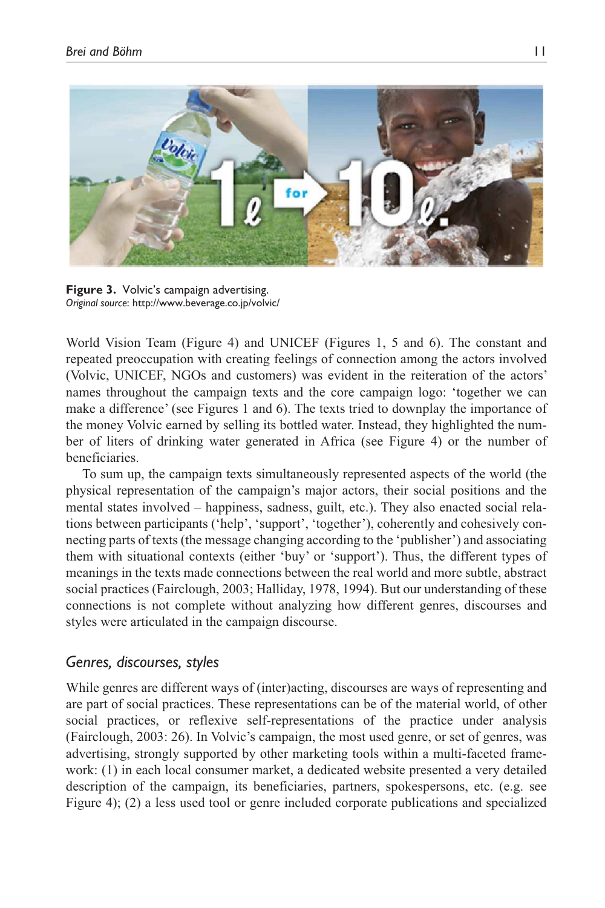

**Figure 3.** Volvic's campaign advertising. *Original source*: http://www.beverage.co.jp/volvic/

World Vision Team (Figure 4) and UNICEF (Figures 1, 5 and 6). The constant and repeated preoccupation with creating feelings of connection among the actors involved (Volvic, UNICEF, NGOs and customers) was evident in the reiteration of the actors' names throughout the campaign texts and the core campaign logo: 'together we can make a difference' (see Figures 1 and 6). The texts tried to downplay the importance of the money Volvic earned by selling its bottled water. Instead, they highlighted the number of liters of drinking water generated in Africa (see Figure 4) or the number of beneficiaries.

To sum up, the campaign texts simultaneously represented aspects of the world (the physical representation of the campaign's major actors, their social positions and the mental states involved – happiness, sadness, guilt, etc.). They also enacted social relations between participants ('help', 'support', 'together'), coherently and cohesively connecting parts of texts (the message changing according to the 'publisher') and associating them with situational contexts (either 'buy' or 'support'). Thus, the different types of meanings in the texts made connections between the real world and more subtle, abstract social practices (Fairclough, 2003; Halliday, 1978, 1994). But our understanding of these connections is not complete without analyzing how different genres, discourses and styles were articulated in the campaign discourse.

# *Genres, discourses, styles*

While genres are different ways of (inter)acting, discourses are ways of representing and are part of social practices. These representations can be of the material world, of other social practices, or reflexive self-representations of the practice under analysis (Fairclough, 2003: 26). In Volvic's campaign, the most used genre, or set of genres, was advertising, strongly supported by other marketing tools within a multi-faceted framework: (1) in each local consumer market, a dedicated website presented a very detailed description of the campaign, its beneficiaries, partners, spokespersons, etc. (e.g. see Figure 4); (2) a less used tool or genre included corporate publications and specialized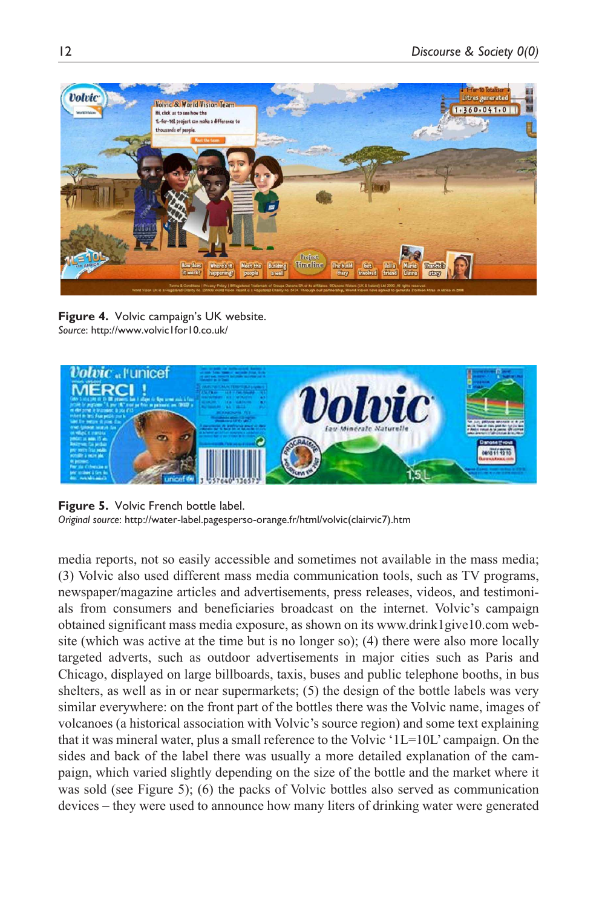

**Figure 4.** Volvic campaign's UK website. *Source*: http://www.volvic1for10.co.uk/



**Figure 5.** Volvic French bottle label. *Original source*: http://water-label.pagesperso-orange.fr/html/volvic(clairvic7).htm

media reports, not so easily accessible and sometimes not available in the mass media; (3) Volvic also used different mass media communication tools, such as TV programs, newspaper/magazine articles and advertisements, press releases, videos, and testimonials from consumers and beneficiaries broadcast on the internet. Volvic's campaign obtained significant mass media exposure, as shown on its www.drink1give10.com website (which was active at the time but is no longer so); (4) there were also more locally targeted adverts, such as outdoor advertisements in major cities such as Paris and Chicago, displayed on large billboards, taxis, buses and public telephone booths, in bus shelters, as well as in or near supermarkets; (5) the design of the bottle labels was very similar everywhere: on the front part of the bottles there was the Volvic name, images of volcanoes (a historical association with Volvic's source region) and some text explaining that it was mineral water, plus a small reference to the Volvic '1L=10L' campaign. On the sides and back of the label there was usually a more detailed explanation of the campaign, which varied slightly depending on the size of the bottle and the market where it was sold (see Figure 5); (6) the packs of Volvic bottles also served as communication devices – they were used to announce how many liters of drinking water were generated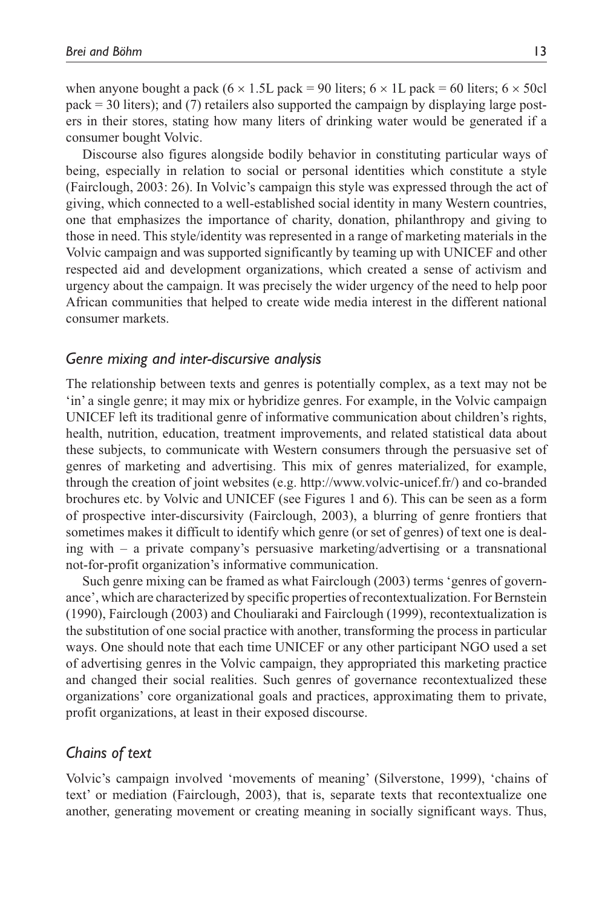when anyone bought a pack (6  $\times$  1.5L pack = 90 liters; 6  $\times$  1L pack = 60 liters; 6  $\times$  50cl pack = 30 liters); and (7) retailers also supported the campaign by displaying large posters in their stores, stating how many liters of drinking water would be generated if a consumer bought Volvic.

Discourse also figures alongside bodily behavior in constituting particular ways of being, especially in relation to social or personal identities which constitute a style (Fairclough, 2003: 26). In Volvic's campaign this style was expressed through the act of giving, which connected to a well-established social identity in many Western countries, one that emphasizes the importance of charity, donation, philanthropy and giving to those in need. This style/identity was represented in a range of marketing materials in the Volvic campaign and was supported significantly by teaming up with UNICEF and other respected aid and development organizations, which created a sense of activism and urgency about the campaign. It was precisely the wider urgency of the need to help poor African communities that helped to create wide media interest in the different national consumer markets.

### *Genre mixing and inter-discursive analysis*

The relationship between texts and genres is potentially complex, as a text may not be 'in' a single genre; it may mix or hybridize genres. For example, in the Volvic campaign UNICEF left its traditional genre of informative communication about children's rights, health, nutrition, education, treatment improvements, and related statistical data about these subjects, to communicate with Western consumers through the persuasive set of genres of marketing and advertising. This mix of genres materialized, for example, through the creation of joint websites (e.g. http://www.volvic-unicef.fr/) and co-branded brochures etc. by Volvic and UNICEF (see Figures 1 and 6). This can be seen as a form of prospective inter-discursivity (Fairclough, 2003), a blurring of genre frontiers that sometimes makes it difficult to identify which genre (or set of genres) of text one is dealing with – a private company's persuasive marketing/advertising or a transnational not-for-profit organization's informative communication.

Such genre mixing can be framed as what Fairclough (2003) terms 'genres of governance', which are characterized by specific properties of recontextualization. For Bernstein (1990), Fairclough (2003) and Chouliaraki and Fairclough (1999), recontextualization is the substitution of one social practice with another, transforming the process in particular ways. One should note that each time UNICEF or any other participant NGO used a set of advertising genres in the Volvic campaign, they appropriated this marketing practice and changed their social realities. Such genres of governance recontextualized these organizations' core organizational goals and practices, approximating them to private, profit organizations, at least in their exposed discourse.

### *Chains of text*

Volvic's campaign involved 'movements of meaning' (Silverstone, 1999), 'chains of text' or mediation (Fairclough, 2003), that is, separate texts that recontextualize one another, generating movement or creating meaning in socially significant ways. Thus,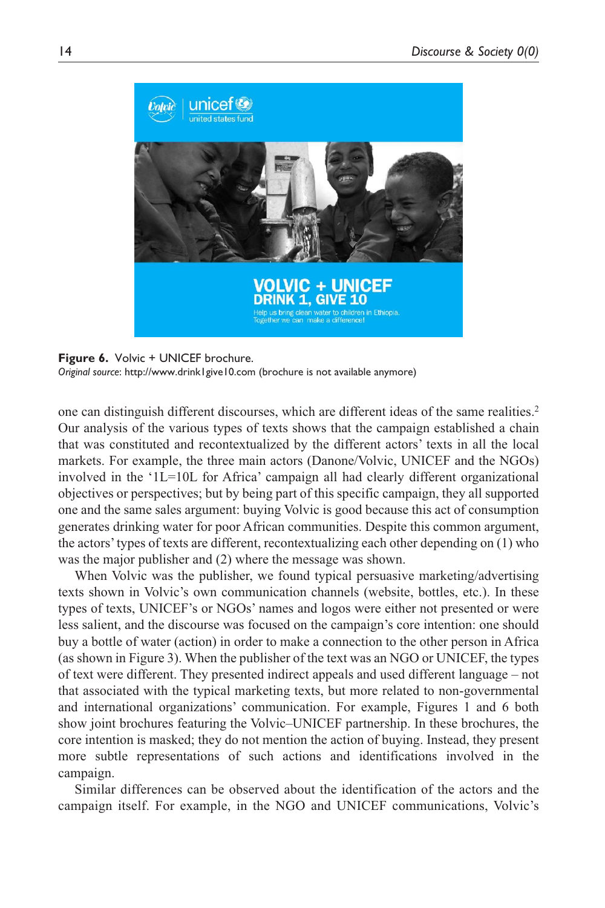



one can distinguish different discourses, which are different ideas of the same realities.<sup>2</sup> Our analysis of the various types of texts shows that the campaign established a chain that was constituted and recontextualized by the different actors' texts in all the local markets. For example, the three main actors (Danone/Volvic, UNICEF and the NGOs) involved in the '1L=10L for Africa' campaign all had clearly different organizational objectives or perspectives; but by being part of this specific campaign, they all supported one and the same sales argument: buying Volvic is good because this act of consumption generates drinking water for poor African communities. Despite this common argument, the actors' types of texts are different, recontextualizing each other depending on (1) who was the major publisher and (2) where the message was shown.

When Volvic was the publisher, we found typical persuasive marketing/advertising texts shown in Volvic's own communication channels (website, bottles, etc.). In these types of texts, UNICEF's or NGOs' names and logos were either not presented or were less salient, and the discourse was focused on the campaign's core intention: one should buy a bottle of water (action) in order to make a connection to the other person in Africa (as shown in Figure 3). When the publisher of the text was an NGO or UNICEF, the types of text were different. They presented indirect appeals and used different language – not that associated with the typical marketing texts, but more related to non-governmental and international organizations' communication. For example, Figures 1 and 6 both show joint brochures featuring the Volvic–UNICEF partnership. In these brochures, the core intention is masked; they do not mention the action of buying. Instead, they present more subtle representations of such actions and identifications involved in the campaign.

Similar differences can be observed about the identification of the actors and the campaign itself. For example, in the NGO and UNICEF communications, Volvic's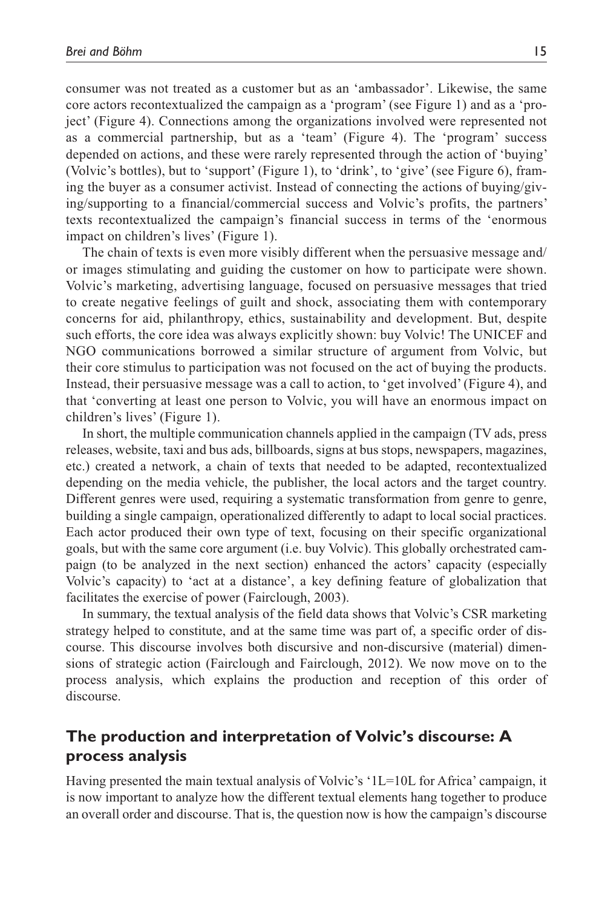consumer was not treated as a customer but as an 'ambassador'. Likewise, the same core actors recontextualized the campaign as a 'program' (see Figure 1) and as a 'project' (Figure 4). Connections among the organizations involved were represented not as a commercial partnership, but as a 'team' (Figure 4). The 'program' success depended on actions, and these were rarely represented through the action of 'buying' (Volvic's bottles), but to 'support' (Figure 1), to 'drink', to 'give' (see Figure 6), framing the buyer as a consumer activist. Instead of connecting the actions of buying/giving/supporting to a financial/commercial success and Volvic's profits, the partners' texts recontextualized the campaign's financial success in terms of the 'enormous impact on children's lives' (Figure 1).

The chain of texts is even more visibly different when the persuasive message and/ or images stimulating and guiding the customer on how to participate were shown. Volvic's marketing, advertising language, focused on persuasive messages that tried to create negative feelings of guilt and shock, associating them with contemporary concerns for aid, philanthropy, ethics, sustainability and development. But, despite such efforts, the core idea was always explicitly shown: buy Volvic! The UNICEF and NGO communications borrowed a similar structure of argument from Volvic, but their core stimulus to participation was not focused on the act of buying the products. Instead, their persuasive message was a call to action, to 'get involved' (Figure 4), and that 'converting at least one person to Volvic, you will have an enormous impact on children's lives' (Figure 1).

In short, the multiple communication channels applied in the campaign (TV ads, press releases, website, taxi and bus ads, billboards, signs at bus stops, newspapers, magazines, etc.) created a network, a chain of texts that needed to be adapted, recontextualized depending on the media vehicle, the publisher, the local actors and the target country. Different genres were used, requiring a systematic transformation from genre to genre, building a single campaign, operationalized differently to adapt to local social practices. Each actor produced their own type of text, focusing on their specific organizational goals, but with the same core argument (i.e. buy Volvic). This globally orchestrated campaign (to be analyzed in the next section) enhanced the actors' capacity (especially Volvic's capacity) to 'act at a distance', a key defining feature of globalization that facilitates the exercise of power (Fairclough, 2003).

In summary, the textual analysis of the field data shows that Volvic's CSR marketing strategy helped to constitute, and at the same time was part of, a specific order of discourse. This discourse involves both discursive and non-discursive (material) dimensions of strategic action (Fairclough and Fairclough, 2012). We now move on to the process analysis, which explains the production and reception of this order of discourse.

# **The production and interpretation of Volvic's discourse: A process analysis**

Having presented the main textual analysis of Volvic's '1L=10L for Africa' campaign, it is now important to analyze how the different textual elements hang together to produce an overall order and discourse. That is, the question now is how the campaign's discourse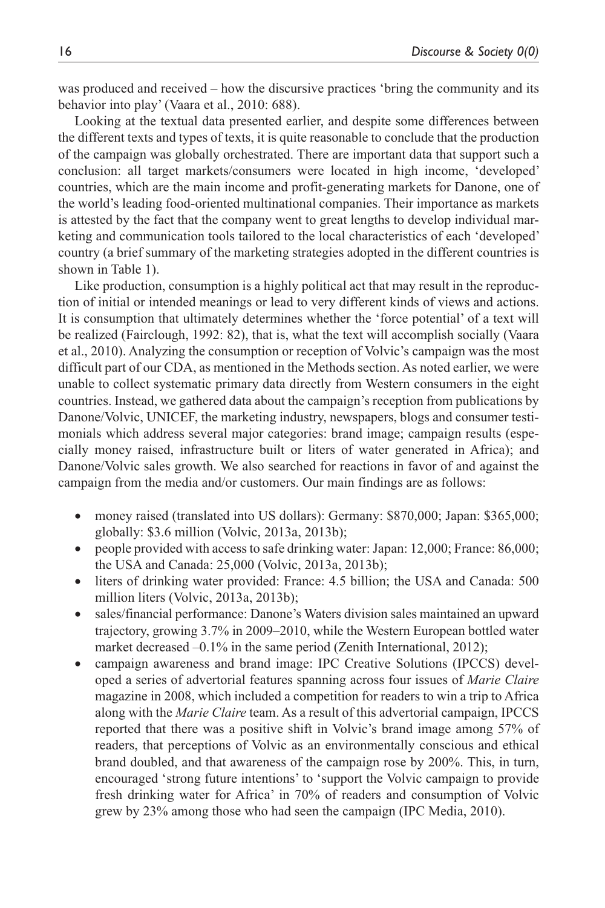was produced and received – how the discursive practices 'bring the community and its behavior into play' (Vaara et al., 2010: 688).

Looking at the textual data presented earlier, and despite some differences between the different texts and types of texts, it is quite reasonable to conclude that the production of the campaign was globally orchestrated. There are important data that support such a conclusion: all target markets/consumers were located in high income, 'developed' countries, which are the main income and profit-generating markets for Danone, one of the world's leading food-oriented multinational companies. Their importance as markets is attested by the fact that the company went to great lengths to develop individual marketing and communication tools tailored to the local characteristics of each 'developed' country (a brief summary of the marketing strategies adopted in the different countries is shown in Table 1).

Like production, consumption is a highly political act that may result in the reproduction of initial or intended meanings or lead to very different kinds of views and actions. It is consumption that ultimately determines whether the 'force potential' of a text will be realized (Fairclough, 1992: 82), that is, what the text will accomplish socially (Vaara et al., 2010). Analyzing the consumption or reception of Volvic's campaign was the most difficult part of our CDA, as mentioned in the Methods section. As noted earlier, we were unable to collect systematic primary data directly from Western consumers in the eight countries. Instead, we gathered data about the campaign's reception from publications by Danone/Volvic, UNICEF, the marketing industry, newspapers, blogs and consumer testimonials which address several major categories: brand image; campaign results (especially money raised, infrastructure built or liters of water generated in Africa); and Danone/Volvic sales growth. We also searched for reactions in favor of and against the campaign from the media and/or customers. Our main findings are as follows:

- money raised (translated into US dollars): Germany: \$870,000; Japan: \$365,000; globally: \$3.6 million (Volvic, 2013a, 2013b);
- •• people provided with access to safe drinking water: Japan: 12,000; France: 86,000; the USA and Canada: 25,000 (Volvic, 2013a, 2013b);
- liters of drinking water provided: France: 4.5 billion; the USA and Canada: 500 million liters (Volvic, 2013a, 2013b);
- sales/financial performance: Danone's Waters division sales maintained an upward trajectory, growing 3.7% in 2009–2010, while the Western European bottled water market decreased –0.1% in the same period (Zenith International, 2012);
- •• campaign awareness and brand image: IPC Creative Solutions (IPCCS) developed a series of advertorial features spanning across four issues of *Marie Claire* magazine in 2008, which included a competition for readers to win a trip to Africa along with the *Marie Claire* team. As a result of this advertorial campaign, IPCCS reported that there was a positive shift in Volvic's brand image among 57% of readers, that perceptions of Volvic as an environmentally conscious and ethical brand doubled, and that awareness of the campaign rose by 200%. This, in turn, encouraged 'strong future intentions' to 'support the Volvic campaign to provide fresh drinking water for Africa' in 70% of readers and consumption of Volvic grew by 23% among those who had seen the campaign (IPC Media, 2010).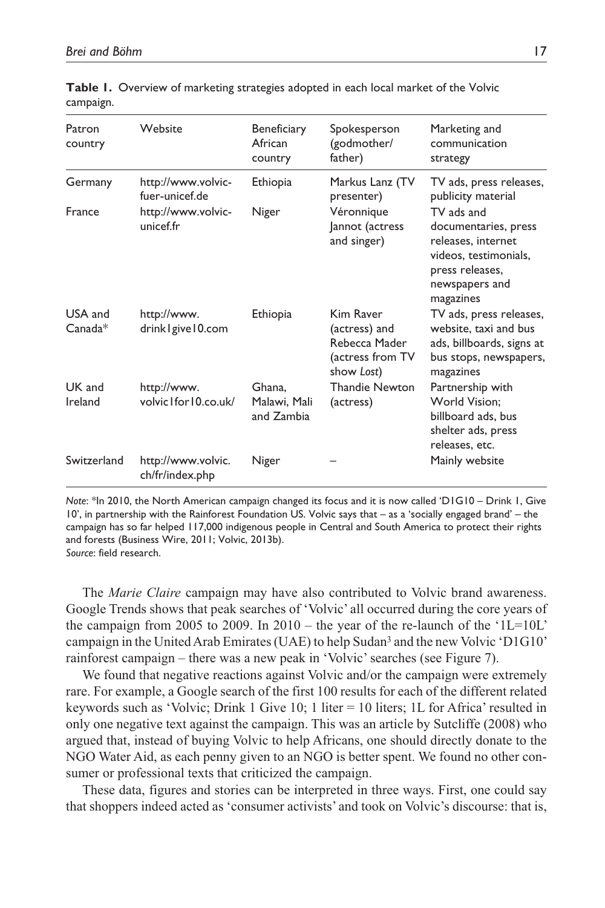| Patron<br>country    | Website                                | <b>Beneficiary</b><br>African<br>country | Spokesperson<br>(godmother/<br>father)                                        | Marketing and<br>communication<br>strategy                                                                                          |
|----------------------|----------------------------------------|------------------------------------------|-------------------------------------------------------------------------------|-------------------------------------------------------------------------------------------------------------------------------------|
| Germany              | http://www.volvic-<br>fuer-unicef.de   | Ethiopia                                 | Markus Lanz (TV<br>presenter)                                                 | TV ads, press releases,<br>publicity material                                                                                       |
| France               | http://www.volvic-<br>unicef.fr        | Niger                                    | Véronnique<br>annot (actress<br>and singer)                                   | TV ads and<br>documentaries, press<br>releases, internet<br>videos, testimonials,<br>press releases,<br>newspapers and<br>magazines |
| USA and<br>$Canada*$ | http://www.<br>drink I give I 0.com    | Ethiopia                                 | Kim Raver<br>(actress) and<br>Rebecca Mader<br>(actress from TV<br>show Lost) | TV ads, press releases,<br>website, taxi and bus<br>ads, billboards, signs at<br>bus stops, newspapers,<br>magazines                |
| UK and<br>Ireland    | http://www.<br>volvic I for I 0.co.uk/ | Ghana.<br>Malawi, Mali<br>and Zambia     | <b>Thandie Newton</b><br>(actress)                                            | Partnership with<br>World Vision;<br>billboard ads, bus<br>shelter ads, press<br>releases, etc.                                     |
| Switzerland          | http://www.volvic.<br>ch/fr/index.php  | Niger                                    |                                                                               | Mainly website                                                                                                                      |

**Table 1.** Overview of marketing strategies adopted in each local market of the Volvic campaign.

*Note*: \*In 2010, the North American campaign changed its focus and it is now called 'D1G10 – Drink 1, Give 10', in partnership with the Rainforest Foundation US. Volvic says that – as a 'socially engaged brand' – the campaign has so far helped 117,000 indigenous people in Central and South America to protect their rights and forests (Business Wire, 2011; Volvic, 2013b). *Source*: field research.

The *Marie Claire* campaign may have also contributed to Volvic brand awareness. Google Trends shows that peak searches of 'Volvic' all occurred during the core years of the campaign from 2005 to 2009. In 2010 – the year of the re-launch of the '1L=10L' campaign in the United Arab Emirates (UAE) to help Sudan<sup>3</sup> and the new Volvic 'D1G10' rainforest campaign – there was a new peak in 'Volvic' searches (see Figure 7).

We found that negative reactions against Volvic and/or the campaign were extremely rare. For example, a Google search of the first 100 results for each of the different related keywords such as 'Volvic; Drink 1 Give 10; 1 liter = 10 liters; 1L for Africa' resulted in only one negative text against the campaign. This was an article by Sutcliffe (2008) who argued that, instead of buying Volvic to help Africans, one should directly donate to the NGO Water Aid, as each penny given to an NGO is better spent. We found no other consumer or professional texts that criticized the campaign.

These data, figures and stories can be interpreted in three ways. First, one could say that shoppers indeed acted as 'consumer activists' and took on Volvic's discourse: that is,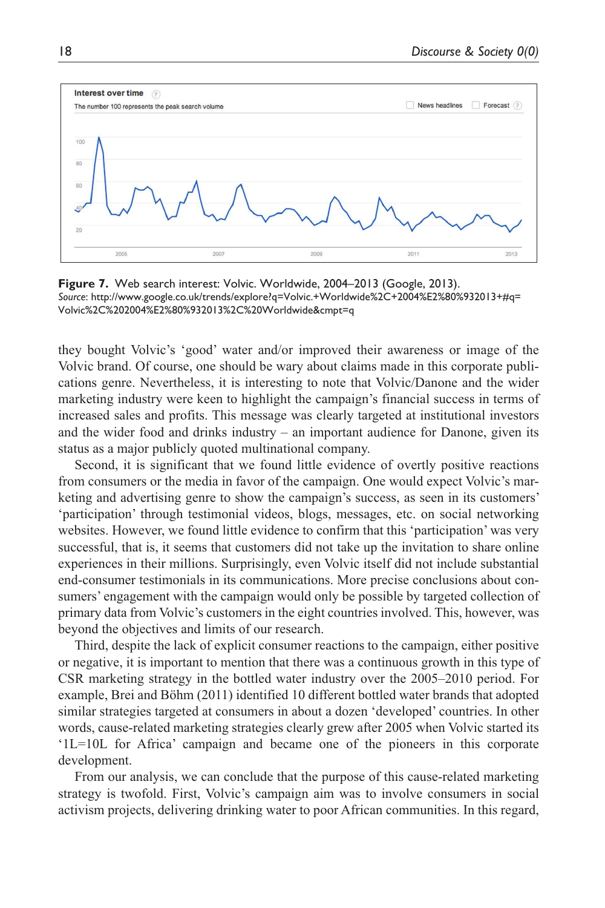

Figure 7. Web search interest: Volvic. Worldwide, 2004–2013 (Google, 2013). *Source*: http://www.google.co.uk/trends/explore?q=Volvic.+Worldwide%2C+2004%E2%80%932013+#q= Volvic%2C%202004%E2%80%932013%2C%20Worldwide&cmpt=q

they bought Volvic's 'good' water and/or improved their awareness or image of the Volvic brand. Of course, one should be wary about claims made in this corporate publications genre. Nevertheless, it is interesting to note that Volvic/Danone and the wider marketing industry were keen to highlight the campaign's financial success in terms of increased sales and profits. This message was clearly targeted at institutional investors and the wider food and drinks industry – an important audience for Danone, given its status as a major publicly quoted multinational company.

Second, it is significant that we found little evidence of overtly positive reactions from consumers or the media in favor of the campaign. One would expect Volvic's marketing and advertising genre to show the campaign's success, as seen in its customers' 'participation' through testimonial videos, blogs, messages, etc. on social networking websites. However, we found little evidence to confirm that this 'participation' was very successful, that is, it seems that customers did not take up the invitation to share online experiences in their millions. Surprisingly, even Volvic itself did not include substantial end-consumer testimonials in its communications. More precise conclusions about consumers' engagement with the campaign would only be possible by targeted collection of primary data from Volvic's customers in the eight countries involved. This, however, was beyond the objectives and limits of our research.

Third, despite the lack of explicit consumer reactions to the campaign, either positive or negative, it is important to mention that there was a continuous growth in this type of CSR marketing strategy in the bottled water industry over the 2005–2010 period. For example, Brei and Böhm (2011) identified 10 different bottled water brands that adopted similar strategies targeted at consumers in about a dozen 'developed' countries. In other words, cause-related marketing strategies clearly grew after 2005 when Volvic started its '1L=10L for Africa' campaign and became one of the pioneers in this corporate development.

From our analysis, we can conclude that the purpose of this cause-related marketing strategy is twofold. First, Volvic's campaign aim was to involve consumers in social activism projects, delivering drinking water to poor African communities. In this regard,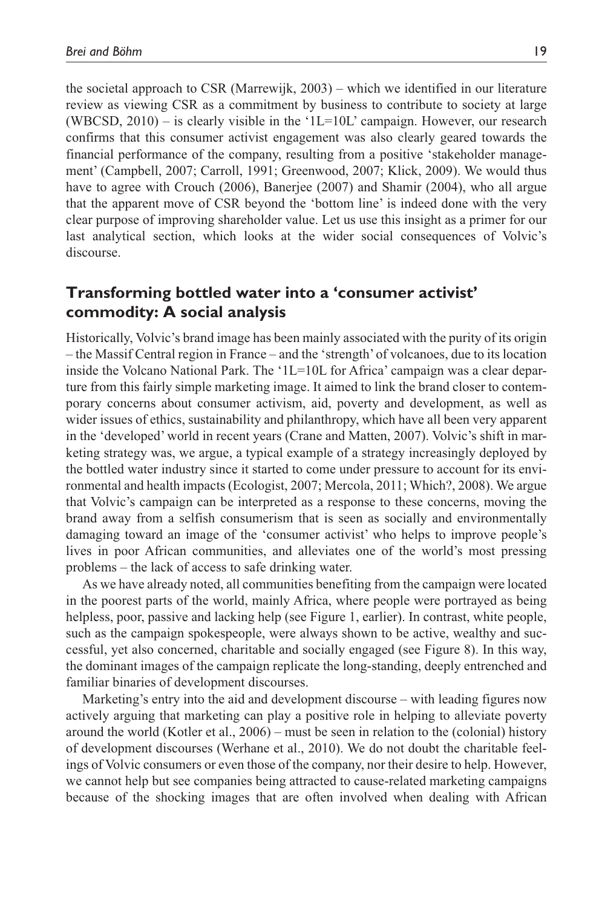the societal approach to CSR (Marrewijk, 2003) – which we identified in our literature review as viewing CSR as a commitment by business to contribute to society at large (WBCSD,  $2010$ ) – is clearly visible in the '1L=10L' campaign. However, our research confirms that this consumer activist engagement was also clearly geared towards the financial performance of the company, resulting from a positive 'stakeholder management' (Campbell, 2007; Carroll, 1991; Greenwood, 2007; Klick, 2009). We would thus have to agree with Crouch (2006), Banerjee (2007) and Shamir (2004), who all argue that the apparent move of CSR beyond the 'bottom line' is indeed done with the very clear purpose of improving shareholder value. Let us use this insight as a primer for our last analytical section, which looks at the wider social consequences of Volvic's discourse.

# **Transforming bottled water into a 'consumer activist' commodity: A social analysis**

Historically, Volvic's brand image has been mainly associated with the purity of its origin – the Massif Central region in France – and the 'strength' of volcanoes, due to its location inside the Volcano National Park. The '1L=10L for Africa' campaign was a clear departure from this fairly simple marketing image. It aimed to link the brand closer to contemporary concerns about consumer activism, aid, poverty and development, as well as wider issues of ethics, sustainability and philanthropy, which have all been very apparent in the 'developed' world in recent years (Crane and Matten, 2007). Volvic's shift in marketing strategy was, we argue, a typical example of a strategy increasingly deployed by the bottled water industry since it started to come under pressure to account for its environmental and health impacts (Ecologist, 2007; Mercola, 2011; Which?, 2008). We argue that Volvic's campaign can be interpreted as a response to these concerns, moving the brand away from a selfish consumerism that is seen as socially and environmentally damaging toward an image of the 'consumer activist' who helps to improve people's lives in poor African communities, and alleviates one of the world's most pressing problems – the lack of access to safe drinking water.

As we have already noted, all communities benefiting from the campaign were located in the poorest parts of the world, mainly Africa, where people were portrayed as being helpless, poor, passive and lacking help (see Figure 1, earlier). In contrast, white people, such as the campaign spokespeople, were always shown to be active, wealthy and successful, yet also concerned, charitable and socially engaged (see Figure 8). In this way, the dominant images of the campaign replicate the long-standing, deeply entrenched and familiar binaries of development discourses.

Marketing's entry into the aid and development discourse – with leading figures now actively arguing that marketing can play a positive role in helping to alleviate poverty around the world (Kotler et al., 2006) – must be seen in relation to the (colonial) history of development discourses (Werhane et al., 2010). We do not doubt the charitable feelings of Volvic consumers or even those of the company, nor their desire to help. However, we cannot help but see companies being attracted to cause-related marketing campaigns because of the shocking images that are often involved when dealing with African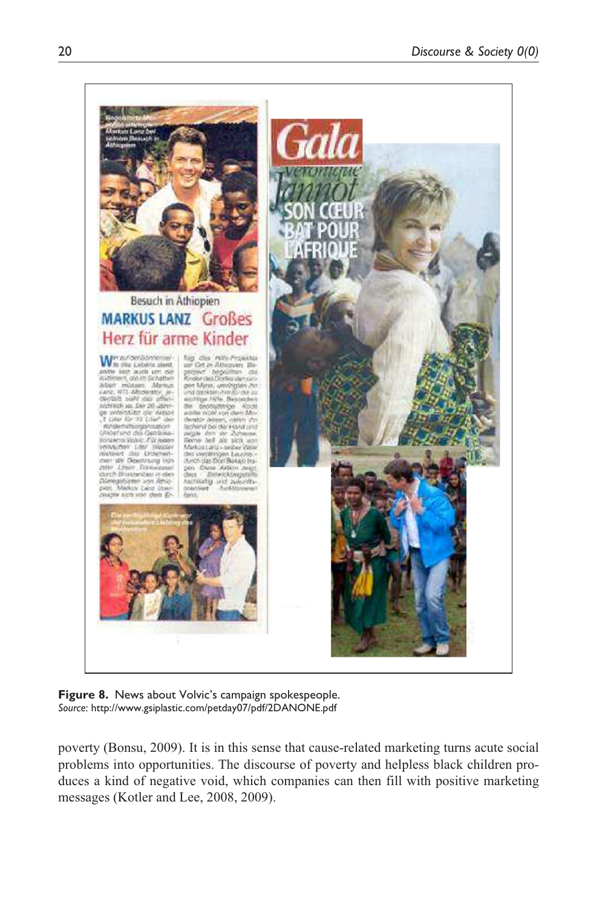

**Figure 8.** News about Volvic's campaign spokespeople. *Source*: http://www.gsiplastic.com/petday07/pdf/2DANONE.pdf

poverty (Bonsu, 2009). It is in this sense that cause-related marketing turns acute social problems into opportunities. The discourse of poverty and helpless black children produces a kind of negative void, which companies can then fill with positive marketing messages (Kotler and Lee, 2008, 2009).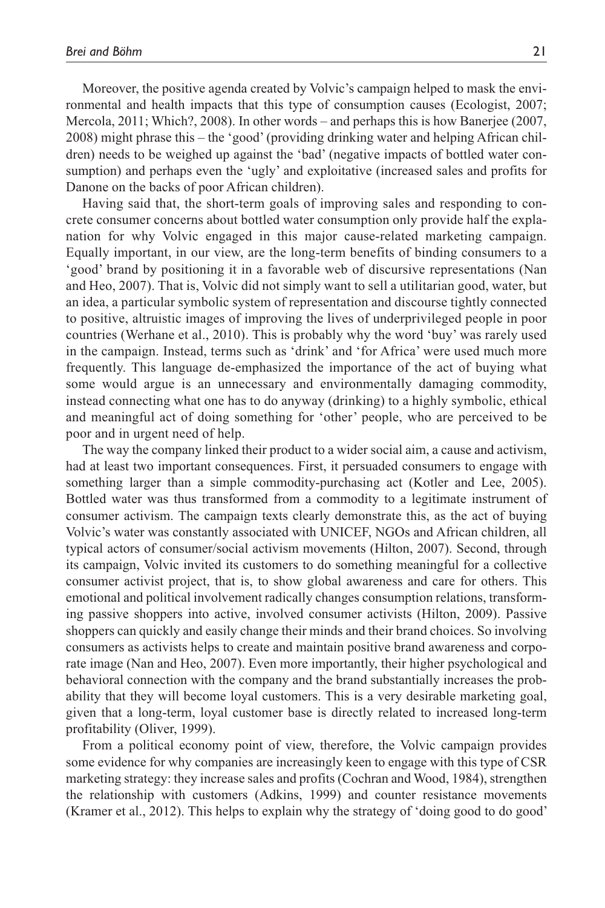Moreover, the positive agenda created by Volvic's campaign helped to mask the environmental and health impacts that this type of consumption causes (Ecologist, 2007; Mercola, 2011; Which?, 2008). In other words – and perhaps this is how Banerjee (2007, 2008) might phrase this – the 'good' (providing drinking water and helping African children) needs to be weighed up against the 'bad' (negative impacts of bottled water consumption) and perhaps even the 'ugly' and exploitative (increased sales and profits for Danone on the backs of poor African children).

Having said that, the short-term goals of improving sales and responding to concrete consumer concerns about bottled water consumption only provide half the explanation for why Volvic engaged in this major cause-related marketing campaign. Equally important, in our view, are the long-term benefits of binding consumers to a 'good' brand by positioning it in a favorable web of discursive representations (Nan and Heo, 2007). That is, Volvic did not simply want to sell a utilitarian good, water, but an idea, a particular symbolic system of representation and discourse tightly connected to positive, altruistic images of improving the lives of underprivileged people in poor countries (Werhane et al., 2010). This is probably why the word 'buy' was rarely used in the campaign. Instead, terms such as 'drink' and 'for Africa' were used much more frequently. This language de-emphasized the importance of the act of buying what some would argue is an unnecessary and environmentally damaging commodity, instead connecting what one has to do anyway (drinking) to a highly symbolic, ethical and meaningful act of doing something for 'other' people, who are perceived to be poor and in urgent need of help.

The way the company linked their product to a wider social aim, a cause and activism, had at least two important consequences. First, it persuaded consumers to engage with something larger than a simple commodity-purchasing act (Kotler and Lee, 2005). Bottled water was thus transformed from a commodity to a legitimate instrument of consumer activism. The campaign texts clearly demonstrate this, as the act of buying Volvic's water was constantly associated with UNICEF, NGOs and African children, all typical actors of consumer/social activism movements (Hilton, 2007). Second, through its campaign, Volvic invited its customers to do something meaningful for a collective consumer activist project, that is, to show global awareness and care for others. This emotional and political involvement radically changes consumption relations, transforming passive shoppers into active, involved consumer activists (Hilton, 2009). Passive shoppers can quickly and easily change their minds and their brand choices. So involving consumers as activists helps to create and maintain positive brand awareness and corporate image (Nan and Heo, 2007). Even more importantly, their higher psychological and behavioral connection with the company and the brand substantially increases the probability that they will become loyal customers. This is a very desirable marketing goal, given that a long-term, loyal customer base is directly related to increased long-term profitability (Oliver, 1999).

From a political economy point of view, therefore, the Volvic campaign provides some evidence for why companies are increasingly keen to engage with this type of CSR marketing strategy: they increase sales and profits (Cochran and Wood, 1984), strengthen the relationship with customers (Adkins, 1999) and counter resistance movements (Kramer et al., 2012). This helps to explain why the strategy of 'doing good to do good'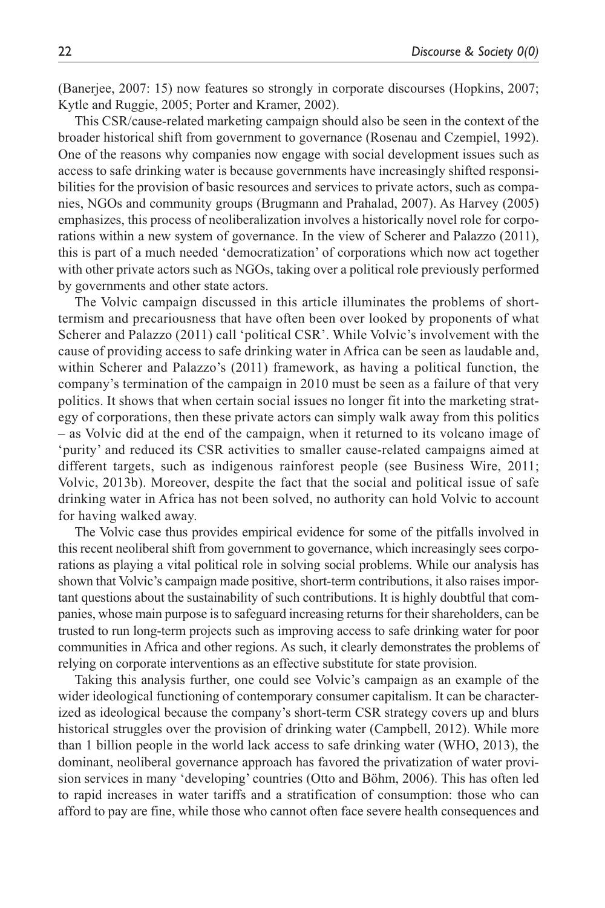(Banerjee, 2007: 15) now features so strongly in corporate discourses (Hopkins, 2007; Kytle and Ruggie, 2005; Porter and Kramer, 2002).

This CSR/cause-related marketing campaign should also be seen in the context of the broader historical shift from government to governance (Rosenau and Czempiel, 1992). One of the reasons why companies now engage with social development issues such as access to safe drinking water is because governments have increasingly shifted responsibilities for the provision of basic resources and services to private actors, such as companies, NGOs and community groups (Brugmann and Prahalad, 2007). As Harvey (2005) emphasizes, this process of neoliberalization involves a historically novel role for corporations within a new system of governance. In the view of Scherer and Palazzo (2011), this is part of a much needed 'democratization' of corporations which now act together with other private actors such as NGOs, taking over a political role previously performed by governments and other state actors.

The Volvic campaign discussed in this article illuminates the problems of shorttermism and precariousness that have often been over looked by proponents of what Scherer and Palazzo (2011) call 'political CSR'. While Volvic's involvement with the cause of providing access to safe drinking water in Africa can be seen as laudable and, within Scherer and Palazzo's (2011) framework, as having a political function, the company's termination of the campaign in 2010 must be seen as a failure of that very politics. It shows that when certain social issues no longer fit into the marketing strategy of corporations, then these private actors can simply walk away from this politics – as Volvic did at the end of the campaign, when it returned to its volcano image of 'purity' and reduced its CSR activities to smaller cause-related campaigns aimed at different targets, such as indigenous rainforest people (see Business Wire, 2011; Volvic, 2013b). Moreover, despite the fact that the social and political issue of safe drinking water in Africa has not been solved, no authority can hold Volvic to account for having walked away.

The Volvic case thus provides empirical evidence for some of the pitfalls involved in this recent neoliberal shift from government to governance, which increasingly sees corporations as playing a vital political role in solving social problems. While our analysis has shown that Volvic's campaign made positive, short-term contributions, it also raises important questions about the sustainability of such contributions. It is highly doubtful that companies, whose main purpose is to safeguard increasing returns for their shareholders, can be trusted to run long-term projects such as improving access to safe drinking water for poor communities in Africa and other regions. As such, it clearly demonstrates the problems of relying on corporate interventions as an effective substitute for state provision.

Taking this analysis further, one could see Volvic's campaign as an example of the wider ideological functioning of contemporary consumer capitalism. It can be characterized as ideological because the company's short-term CSR strategy covers up and blurs historical struggles over the provision of drinking water (Campbell, 2012). While more than 1 billion people in the world lack access to safe drinking water (WHO, 2013), the dominant, neoliberal governance approach has favored the privatization of water provision services in many 'developing' countries (Otto and Böhm, 2006). This has often led to rapid increases in water tariffs and a stratification of consumption: those who can afford to pay are fine, while those who cannot often face severe health consequences and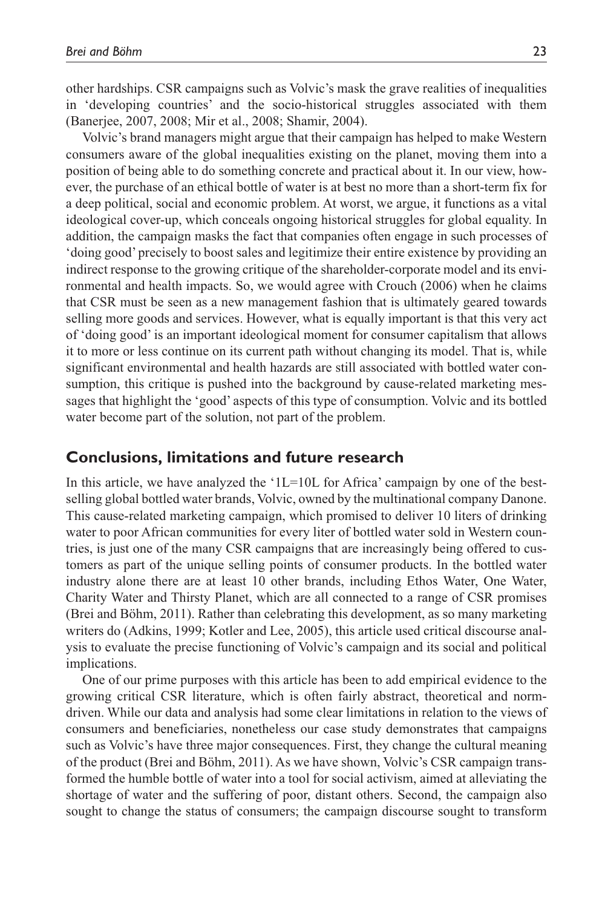other hardships. CSR campaigns such as Volvic's mask the grave realities of inequalities in 'developing countries' and the socio-historical struggles associated with them (Banerjee, 2007, 2008; Mir et al., 2008; Shamir, 2004).

Volvic's brand managers might argue that their campaign has helped to make Western consumers aware of the global inequalities existing on the planet, moving them into a position of being able to do something concrete and practical about it. In our view, however, the purchase of an ethical bottle of water is at best no more than a short-term fix for a deep political, social and economic problem. At worst, we argue, it functions as a vital ideological cover-up, which conceals ongoing historical struggles for global equality. In addition, the campaign masks the fact that companies often engage in such processes of 'doing good' precisely to boost sales and legitimize their entire existence by providing an indirect response to the growing critique of the shareholder-corporate model and its environmental and health impacts. So, we would agree with Crouch (2006) when he claims that CSR must be seen as a new management fashion that is ultimately geared towards selling more goods and services. However, what is equally important is that this very act of 'doing good' is an important ideological moment for consumer capitalism that allows it to more or less continue on its current path without changing its model. That is, while significant environmental and health hazards are still associated with bottled water consumption, this critique is pushed into the background by cause-related marketing messages that highlight the 'good' aspects of this type of consumption. Volvic and its bottled water become part of the solution, not part of the problem.

## **Conclusions, limitations and future research**

In this article, we have analyzed the  $1L=10L$  for Africa' campaign by one of the bestselling global bottled water brands, Volvic, owned by the multinational company Danone. This cause-related marketing campaign, which promised to deliver 10 liters of drinking water to poor African communities for every liter of bottled water sold in Western countries, is just one of the many CSR campaigns that are increasingly being offered to customers as part of the unique selling points of consumer products. In the bottled water industry alone there are at least 10 other brands, including Ethos Water, One Water, Charity Water and Thirsty Planet, which are all connected to a range of CSR promises (Brei and Böhm, 2011). Rather than celebrating this development, as so many marketing writers do (Adkins, 1999; Kotler and Lee, 2005), this article used critical discourse analysis to evaluate the precise functioning of Volvic's campaign and its social and political implications.

One of our prime purposes with this article has been to add empirical evidence to the growing critical CSR literature, which is often fairly abstract, theoretical and normdriven. While our data and analysis had some clear limitations in relation to the views of consumers and beneficiaries, nonetheless our case study demonstrates that campaigns such as Volvic's have three major consequences. First, they change the cultural meaning of the product (Brei and Böhm, 2011). As we have shown, Volvic's CSR campaign transformed the humble bottle of water into a tool for social activism, aimed at alleviating the shortage of water and the suffering of poor, distant others. Second, the campaign also sought to change the status of consumers; the campaign discourse sought to transform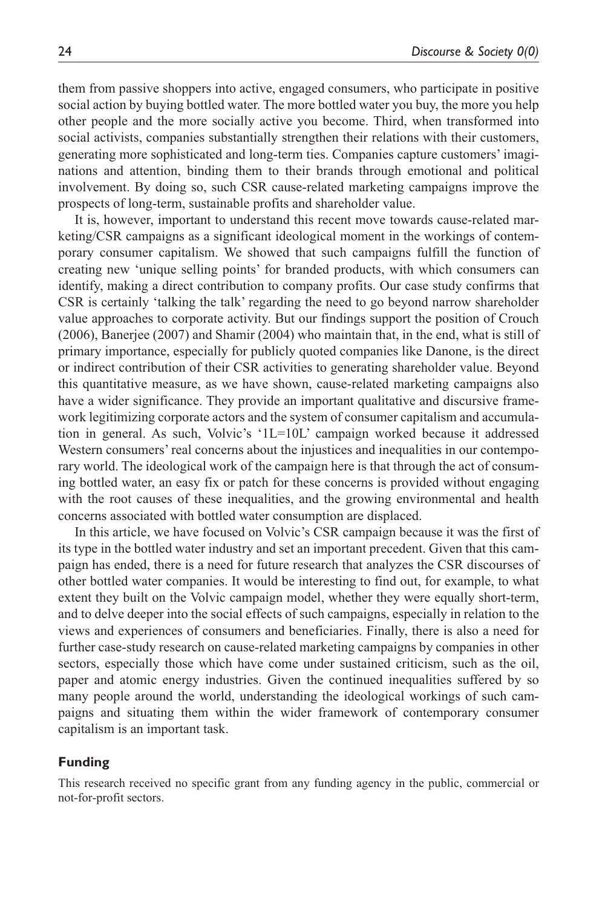them from passive shoppers into active, engaged consumers, who participate in positive social action by buying bottled water. The more bottled water you buy, the more you help other people and the more socially active you become. Third, when transformed into social activists, companies substantially strengthen their relations with their customers, generating more sophisticated and long-term ties. Companies capture customers' imaginations and attention, binding them to their brands through emotional and political involvement. By doing so, such CSR cause-related marketing campaigns improve the prospects of long-term, sustainable profits and shareholder value.

It is, however, important to understand this recent move towards cause-related marketing/CSR campaigns as a significant ideological moment in the workings of contemporary consumer capitalism. We showed that such campaigns fulfill the function of creating new 'unique selling points' for branded products, with which consumers can identify, making a direct contribution to company profits. Our case study confirms that CSR is certainly 'talking the talk' regarding the need to go beyond narrow shareholder value approaches to corporate activity. But our findings support the position of Crouch (2006), Banerjee (2007) and Shamir (2004) who maintain that, in the end, what is still of primary importance, especially for publicly quoted companies like Danone, is the direct or indirect contribution of their CSR activities to generating shareholder value. Beyond this quantitative measure, as we have shown, cause-related marketing campaigns also have a wider significance. They provide an important qualitative and discursive framework legitimizing corporate actors and the system of consumer capitalism and accumulation in general. As such, Volvic's '1L=10L' campaign worked because it addressed Western consumers' real concerns about the injustices and inequalities in our contemporary world. The ideological work of the campaign here is that through the act of consuming bottled water, an easy fix or patch for these concerns is provided without engaging with the root causes of these inequalities, and the growing environmental and health concerns associated with bottled water consumption are displaced.

In this article, we have focused on Volvic's CSR campaign because it was the first of its type in the bottled water industry and set an important precedent. Given that this campaign has ended, there is a need for future research that analyzes the CSR discourses of other bottled water companies. It would be interesting to find out, for example, to what extent they built on the Volvic campaign model, whether they were equally short-term, and to delve deeper into the social effects of such campaigns, especially in relation to the views and experiences of consumers and beneficiaries. Finally, there is also a need for further case-study research on cause-related marketing campaigns by companies in other sectors, especially those which have come under sustained criticism, such as the oil, paper and atomic energy industries. Given the continued inequalities suffered by so many people around the world, understanding the ideological workings of such campaigns and situating them within the wider framework of contemporary consumer capitalism is an important task.

#### **Funding**

This research received no specific grant from any funding agency in the public, commercial or not-for-profit sectors.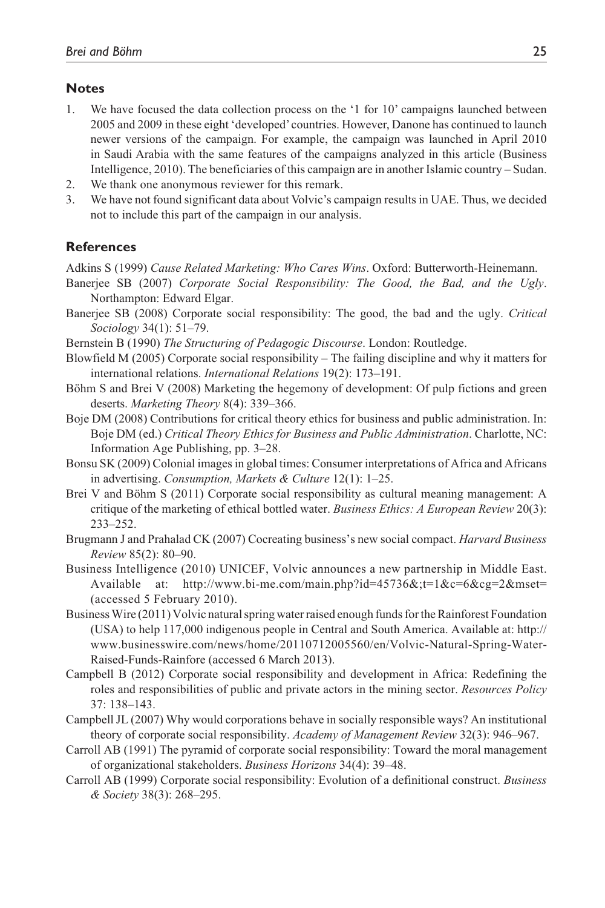### **Notes**

- 1. We have focused the data collection process on the '1 for 10' campaigns launched between 2005 and 2009 in these eight 'developed' countries. However, Danone has continued to launch newer versions of the campaign. For example, the campaign was launched in April 2010 in Saudi Arabia with the same features of the campaigns analyzed in this article (Business Intelligence, 2010). The beneficiaries of this campaign are in another Islamic country – Sudan.
- 2. We thank one anonymous reviewer for this remark.
- 3. We have not found significant data about Volvic's campaign results in UAE. Thus, we decided not to include this part of the campaign in our analysis.

### **References**

Adkins S (1999) *Cause Related Marketing: Who Cares Wins*. Oxford: Butterworth-Heinemann.

- Banerjee SB (2007) *Corporate Social Responsibility: The Good, the Bad, and the Ugly*. Northampton: Edward Elgar.
- Banerjee SB (2008) Corporate social responsibility: The good, the bad and the ugly. *Critical Sociology* 34(1): 51–79.
- Bernstein B (1990) *The Structuring of Pedagogic Discourse*. London: Routledge.
- Blowfield M (2005) Corporate social responsibility The failing discipline and why it matters for international relations. *International Relations* 19(2): 173–191.
- Böhm S and Brei V (2008) Marketing the hegemony of development: Of pulp fictions and green deserts. *Marketing Theory* 8(4): 339–366.
- Boje DM (2008) Contributions for critical theory ethics for business and public administration. In: Boje DM (ed.) *Critical Theory Ethics for Business and Public Administration*. Charlotte, NC: Information Age Publishing, pp. 3–28.
- Bonsu SK (2009) Colonial images in global times: Consumer interpretations of Africa and Africans in advertising. *Consumption, Markets & Culture* 12(1): 1–25.
- Brei V and Böhm S (2011) Corporate social responsibility as cultural meaning management: A critique of the marketing of ethical bottled water. *Business Ethics: A European Review* 20(3): 233–252.
- Brugmann J and Prahalad CK (2007) Cocreating business's new social compact. *Harvard Business Review* 85(2): 80–90.
- Business Intelligence (2010) UNICEF, Volvic announces a new partnership in Middle East. Available at: http://www.bi-me.com/main.php?id=45736&;t=1&c=6&cg=2&mset= (accessed 5 February 2010).
- Business Wire (2011) Volvic natural spring water raised enough funds for the Rainforest Foundation (USA) to help 117,000 indigenous people in Central and South America. Available at: http:// www.businesswire.com/news/home/20110712005560/en/Volvic-Natural-Spring-Water-Raised-Funds-Rainfore (accessed 6 March 2013).
- Campbell B (2012) Corporate social responsibility and development in Africa: Redefining the roles and responsibilities of public and private actors in the mining sector. *Resources Policy* 37: 138–143.
- Campbell JL (2007) Why would corporations behave in socially responsible ways? An institutional theory of corporate social responsibility. *Academy of Management Review* 32(3): 946–967.
- Carroll AB (1991) The pyramid of corporate social responsibility: Toward the moral management of organizational stakeholders. *Business Horizons* 34(4): 39–48.
- Carroll AB (1999) Corporate social responsibility: Evolution of a definitional construct. *Business & Society* 38(3): 268–295.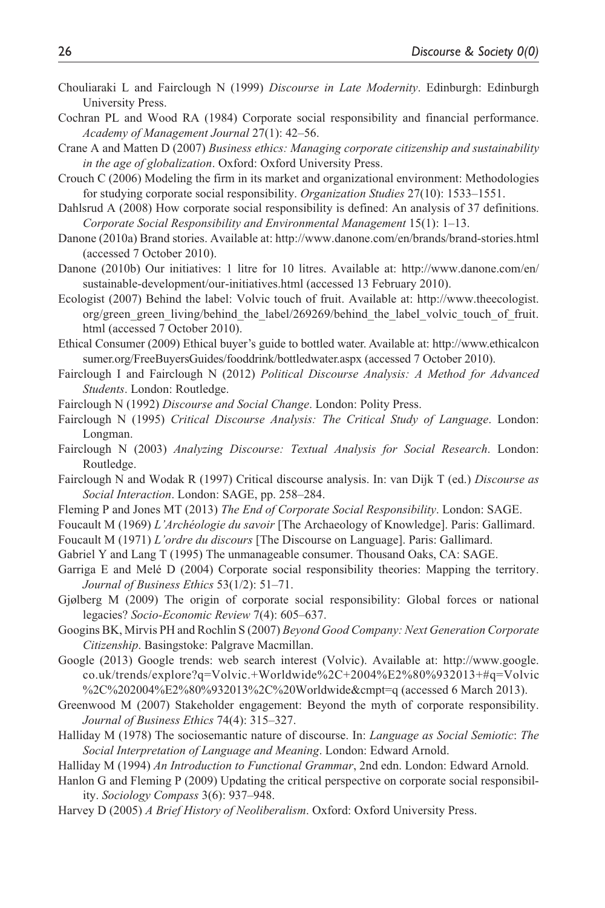- Chouliaraki L and Fairclough N (1999) *Discourse in Late Modernity*. Edinburgh: Edinburgh University Press.
- Cochran PL and Wood RA (1984) Corporate social responsibility and financial performance. *Academy of Management Journal* 27(1): 42–56.
- Crane A and Matten D (2007) *Business ethics: Managing corporate citizenship and sustainability in the age of globalization*. Oxford: Oxford University Press.
- Crouch C (2006) Modeling the firm in its market and organizational environment: Methodologies for studying corporate social responsibility. *Organization Studies* 27(10): 1533–1551.
- Dahlsrud A (2008) How corporate social responsibility is defined: An analysis of 37 definitions. *Corporate Social Responsibility and Environmental Management* 15(1): 1–13.
- Danone (2010a) Brand stories. Available at: http://www.danone.com/en/brands/brand-stories.html (accessed 7 October 2010).
- Danone (2010b) Our initiatives: 1 litre for 10 litres. Available at: http://www.danone.com/en/ sustainable-development/our-initiatives.html (accessed 13 February 2010).
- Ecologist (2007) Behind the label: Volvic touch of fruit. Available at: http://www.theecologist. org/green\_green\_living/behind\_the\_label/269269/behind\_the\_label\_volvic\_touch\_of\_fruit. html (accessed 7 October 2010).
- Ethical Consumer (2009) Ethical buyer's guide to bottled water. Available at: http://www.ethicalcon sumer.org/FreeBuyersGuides/fooddrink/bottledwater.aspx (accessed 7 October 2010).
- Fairclough I and Fairclough N (2012) *Political Discourse Analysis: A Method for Advanced Students*. London: Routledge.
- Fairclough N (1992) *Discourse and Social Change*. London: Polity Press.
- Fairclough N (1995) *Critical Discourse Analysis: The Critical Study of Language*. London: Longman.
- Fairclough N (2003) *Analyzing Discourse: Textual Analysis for Social Research*. London: Routledge.
- Fairclough N and Wodak R (1997) Critical discourse analysis. In: van Dijk T (ed.) *Discourse as Social Interaction*. London: SAGE, pp. 258–284.
- Fleming P and Jones MT (2013) *The End of Corporate Social Responsibility*. London: SAGE.
- Foucault M (1969) *L'Archéologie du savoir* [The Archaeology of Knowledge]. Paris: Gallimard.
- Foucault M (1971) *L'ordre du discours* [The Discourse on Language]. Paris: Gallimard.
- Gabriel Y and Lang T (1995) The unmanageable consumer. Thousand Oaks, CA: SAGE.
- Garriga E and Melé D (2004) Corporate social responsibility theories: Mapping the territory. *Journal of Business Ethics* 53(1/2): 51–71.
- Gjølberg M (2009) The origin of corporate social responsibility: Global forces or national legacies? *Socio-Economic Review* 7(4): 605–637.
- Googins BK, Mirvis PH and Rochlin S (2007) *Beyond Good Company: Next Generation Corporate Citizenship*. Basingstoke: Palgrave Macmillan.
- Google (2013) Google trends: web search interest (Volvic). Available at: http://www.google. co.uk/trends/explore?q=Volvic.+Worldwide%2C+2004%E2%80%932013+#q=Volvic %2C%202004%E2%80%932013%2C%20Worldwide&cmpt=q (accessed 6 March 2013).
- Greenwood M (2007) Stakeholder engagement: Beyond the myth of corporate responsibility. *Journal of Business Ethics* 74(4): 315–327.
- Halliday M (1978) The sociosemantic nature of discourse. In: *Language as Social Semiotic*: *The Social Interpretation of Language and Meaning*. London: Edward Arnold.

Halliday M (1994) *An Introduction to Functional Grammar*, 2nd edn. London: Edward Arnold.

- Hanlon G and Fleming P (2009) Updating the critical perspective on corporate social responsibility. *Sociology Compass* 3(6): 937–948.
- Harvey D (2005) *A Brief History of Neoliberalism*. Oxford: Oxford University Press.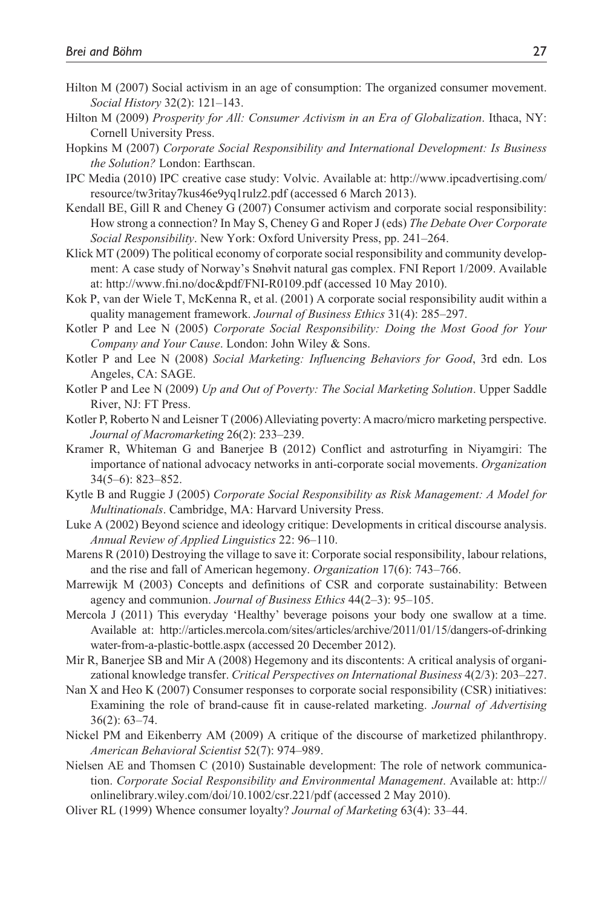- Hilton M (2007) Social activism in an age of consumption: The organized consumer movement. *Social History* 32(2): 121–143.
- Hilton M (2009) *Prosperity for All: Consumer Activism in an Era of Globalization*. Ithaca, NY: Cornell University Press.
- Hopkins M (2007) *Corporate Social Responsibility and International Development: Is Business the Solution?* London: Earthscan.
- IPC Media (2010) IPC creative case study: Volvic. Available at: http://www.ipcadvertising.com/ resource/tw3ritay7kus46e9yq1rulz2.pdf (accessed 6 March 2013).
- Kendall BE, Gill R and Cheney G (2007) Consumer activism and corporate social responsibility: How strong a connection? In May S, Cheney G and Roper J (eds) *The Debate Over Corporate Social Responsibility*. New York: Oxford University Press, pp. 241–264.
- Klick MT (2009) The political economy of corporate social responsibility and community development: A case study of Norway's Snøhvit natural gas complex. FNI Report 1/2009. Available at: http://www.fni.no/doc&pdf/FNI-R0109.pdf (accessed 10 May 2010).
- Kok P, van der Wiele T, McKenna R, et al. (2001) A corporate social responsibility audit within a quality management framework. *Journal of Business Ethics* 31(4): 285–297.
- Kotler P and Lee N (2005) *Corporate Social Responsibility: Doing the Most Good for Your Company and Your Cause*. London: John Wiley & Sons.
- Kotler P and Lee N (2008) *Social Marketing: Influencing Behaviors for Good*, 3rd edn. Los Angeles, CA: SAGE.
- Kotler P and Lee N (2009) *Up and Out of Poverty: The Social Marketing Solution*. Upper Saddle River, NJ: FT Press.
- Kotler P, Roberto N and Leisner T (2006) Alleviating poverty: A macro/micro marketing perspective. *Journal of Macromarketing* 26(2): 233–239.
- Kramer R, Whiteman G and Banerjee B (2012) Conflict and astroturfing in Niyamgiri: The importance of national advocacy networks in anti-corporate social movements. *Organization* 34(5–6): 823–852.
- Kytle B and Ruggie J (2005) *Corporate Social Responsibility as Risk Management: A Model for Multinationals*. Cambridge, MA: Harvard University Press.
- Luke A (2002) Beyond science and ideology critique: Developments in critical discourse analysis. *Annual Review of Applied Linguistics* 22: 96–110.
- Marens R (2010) Destroying the village to save it: Corporate social responsibility, labour relations, and the rise and fall of American hegemony. *Organization* 17(6): 743–766.
- Marrewijk M (2003) Concepts and definitions of CSR and corporate sustainability: Between agency and communion. *Journal of Business Ethics* 44(2–3): 95–105.
- Mercola J (2011) This everyday 'Healthy' beverage poisons your body one swallow at a time. Available at: http://articles.mercola.com/sites/articles/archive/2011/01/15/dangers-of-drinking water-from-a-plastic-bottle.aspx (accessed 20 December 2012).
- Mir R, Banerjee SB and Mir A (2008) Hegemony and its discontents: A critical analysis of organizational knowledge transfer. *Critical Perspectives on International Business* 4(2/3): 203–227.
- Nan X and Heo K (2007) Consumer responses to corporate social responsibility (CSR) initiatives: Examining the role of brand-cause fit in cause-related marketing. *Journal of Advertising* 36(2): 63–74.
- Nickel PM and Eikenberry AM (2009) A critique of the discourse of marketized philanthropy. *American Behavioral Scientist* 52(7): 974–989.
- Nielsen AE and Thomsen C (2010) Sustainable development: The role of network communication. *Corporate Social Responsibility and Environmental Management*. Available at: http:// onlinelibrary.wiley.com/doi/10.1002/csr.221/pdf (accessed 2 May 2010).
- Oliver RL (1999) Whence consumer loyalty? *Journal of Marketing* 63(4): 33–44.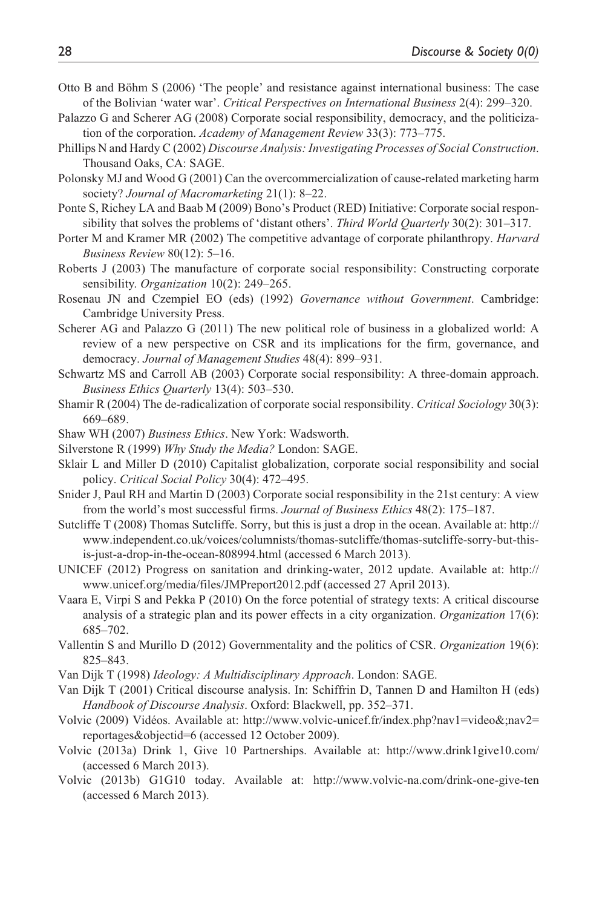- Otto B and Böhm S (2006) 'The people' and resistance against international business: The case of the Bolivian 'water war'. *Critical Perspectives on International Business* 2(4): 299–320.
- Palazzo G and Scherer AG (2008) Corporate social responsibility, democracy, and the politicization of the corporation. *Academy of Management Review* 33(3): 773–775.
- Phillips N and Hardy C (2002) *Discourse Analysis: Investigating Processes of Social Construction*. Thousand Oaks, CA: SAGE.
- Polonsky MJ and Wood G (2001) Can the overcommercialization of cause-related marketing harm society? *Journal of Macromarketing* 21(1): 8–22.
- Ponte S, Richey LA and Baab M (2009) Bono's Product (RED) Initiative: Corporate social responsibility that solves the problems of 'distant others'. *Third World Quarterly* 30(2): 301–317.
- Porter M and Kramer MR (2002) The competitive advantage of corporate philanthropy. *Harvard Business Review* 80(12): 5–16.
- Roberts J (2003) The manufacture of corporate social responsibility: Constructing corporate sensibility. *Organization* 10(2): 249–265.
- Rosenau JN and Czempiel EO (eds) (1992) *Governance without Government*. Cambridge: Cambridge University Press.
- Scherer AG and Palazzo G (2011) The new political role of business in a globalized world: A review of a new perspective on CSR and its implications for the firm, governance, and democracy. *Journal of Management Studies* 48(4): 899–931.
- Schwartz MS and Carroll AB (2003) Corporate social responsibility: A three-domain approach. *Business Ethics Quarterly* 13(4): 503–530.
- Shamir R (2004) The de-radicalization of corporate social responsibility. *Critical Sociology* 30(3): 669–689.
- Shaw WH (2007) *Business Ethics*. New York: Wadsworth.
- Silverstone R (1999) *Why Study the Media?* London: SAGE.
- Sklair L and Miller D (2010) Capitalist globalization, corporate social responsibility and social policy. *Critical Social Policy* 30(4): 472–495.
- Snider J, Paul RH and Martin D (2003) Corporate social responsibility in the 21st century: A view from the world's most successful firms. *Journal of Business Ethics* 48(2): 175–187.
- Sutcliffe T (2008) Thomas Sutcliffe. Sorry, but this is just a drop in the ocean. Available at: http:// www.independent.co.uk/voices/columnists/thomas-sutcliffe/thomas-sutcliffe-sorry-but-thisis-just-a-drop-in-the-ocean-808994.html (accessed 6 March 2013).
- UNICEF (2012) Progress on sanitation and drinking-water, 2012 update. Available at: http:// www.unicef.org/media/files/JMPreport2012.pdf (accessed 27 April 2013).
- Vaara E, Virpi S and Pekka P (2010) On the force potential of strategy texts: A critical discourse analysis of a strategic plan and its power effects in a city organization. *Organization* 17(6): 685–702.
- Vallentin S and Murillo D (2012) Governmentality and the politics of CSR. *Organization* 19(6): 825–843.
- Van Dijk T (1998) *Ideology: A Multidisciplinary Approach*. London: SAGE.
- Van Dijk T (2001) Critical discourse analysis. In: Schiffrin D, Tannen D and Hamilton H (eds) *Handbook of Discourse Analysis*. Oxford: Blackwell, pp. 352–371.
- Volvic (2009) Vidéos. Available at: http://www.volvic-unicef.fr/index.php?nav1=video&;nav2= reportages&objectid=6 (accessed 12 October 2009).
- Volvic (2013a) Drink 1, Give 10 Partnerships. Available at: http://www.drink1give10.com/ (accessed 6 March 2013).
- Volvic (2013b) G1G10 today. Available at: http://www.volvic-na.com/drink-one-give-ten (accessed 6 March 2013).